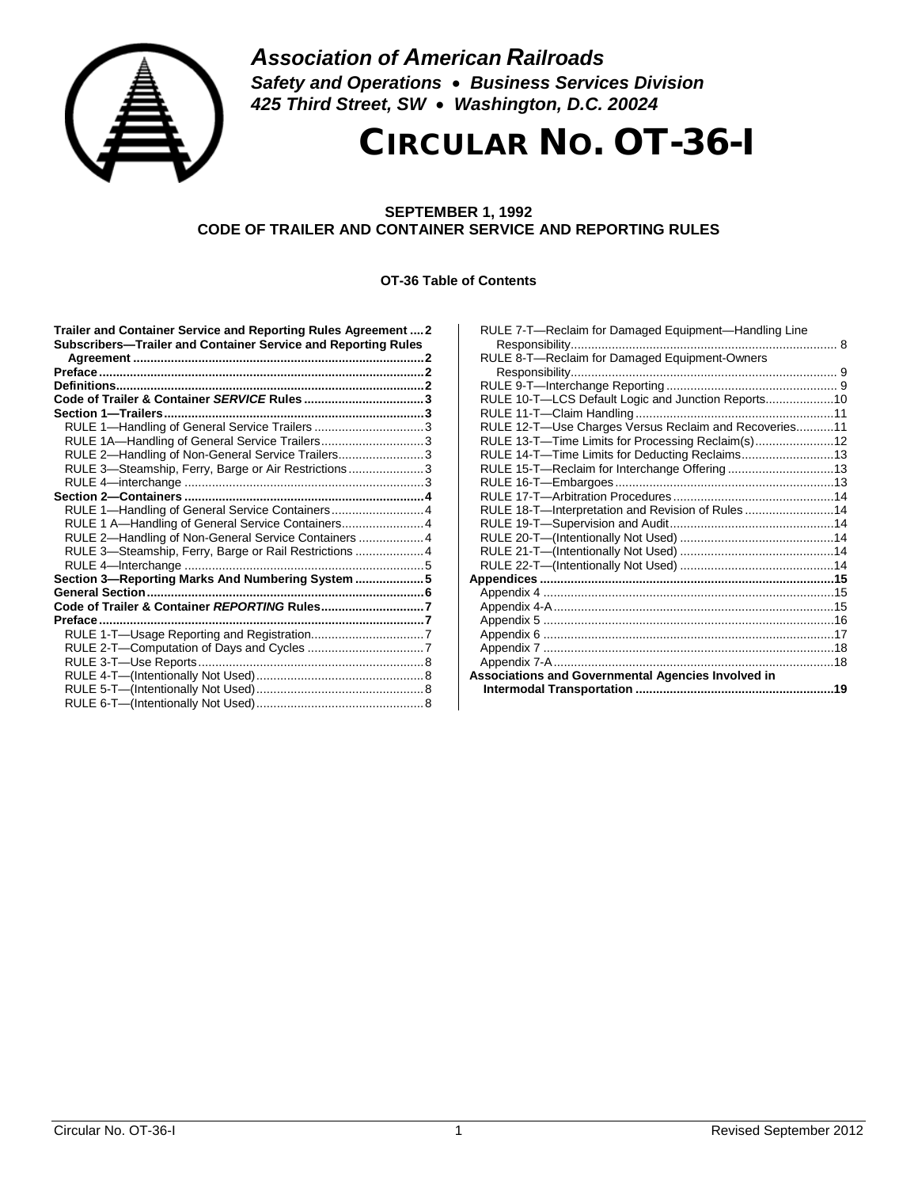

*Association of American Railroads Safety and Operations* • *Business Services Division 425 Third Street, SW* • *Washington, D.C. 20024*

# CIRCULAR NO. OT-36-I

#### **SEPTEMBER 1, 1992 CODE OF TRAILER AND CONTAINER SERVICE AND REPORTING RULES**

#### **OT-36 Table of Contents**

| Trailer and Container Service and Reporting Rules Agreement  2<br>Subscribers-Trailer and Container Service and Reporting Rules |  |
|---------------------------------------------------------------------------------------------------------------------------------|--|
|                                                                                                                                 |  |
|                                                                                                                                 |  |
|                                                                                                                                 |  |
|                                                                                                                                 |  |
| RULE 1-Handling of General Service Trailers 3                                                                                   |  |
| RULE 1A-Handling of General Service Trailers3                                                                                   |  |
| RULE 2-Handling of Non-General Service Trailers3                                                                                |  |
| RULE 3-Steamship, Ferry, Barge or Air Restrictions3                                                                             |  |
|                                                                                                                                 |  |
|                                                                                                                                 |  |
| RULE 1-Handling of General Service Containers 4                                                                                 |  |
| RULE 1 A-Handling of General Service Containers4                                                                                |  |
| RULE 2-Handling of Non-General Service Containers  4                                                                            |  |
| RULE 3-Steamship, Ferry, Barge or Rail Restrictions  4                                                                          |  |
|                                                                                                                                 |  |
| Section 3-Reporting Marks And Numbering System  5                                                                               |  |
|                                                                                                                                 |  |
| Code of Trailer & Container REPORTING Rules7                                                                                    |  |
|                                                                                                                                 |  |
|                                                                                                                                 |  |
|                                                                                                                                 |  |
|                                                                                                                                 |  |
|                                                                                                                                 |  |
|                                                                                                                                 |  |
|                                                                                                                                 |  |

| RULE 7-T-Reclaim for Damaged Equipment-Handling Line  |  |
|-------------------------------------------------------|--|
|                                                       |  |
| RULE 8-T-Reclaim for Damaged Equipment-Owners         |  |
|                                                       |  |
|                                                       |  |
| RULE 10-T-LCS Default Logic and Junction Reports10    |  |
|                                                       |  |
| RULE 12-T-Use Charges Versus Reclaim and Recoveries11 |  |
| RULE 13-T-Time Limits for Processing Reclaim(s)12     |  |
| RULE 14-T-Time Limits for Deducting Reclaims13        |  |
| RULE 15-T-Reclaim for Interchange Offering 13         |  |
|                                                       |  |
|                                                       |  |
| RULE 18-T-Interpretation and Revision of Rules14      |  |
|                                                       |  |
|                                                       |  |
|                                                       |  |
|                                                       |  |
|                                                       |  |
|                                                       |  |
|                                                       |  |
|                                                       |  |
|                                                       |  |
|                                                       |  |
|                                                       |  |
| Associations and Governmental Agencies Involved in    |  |
|                                                       |  |
|                                                       |  |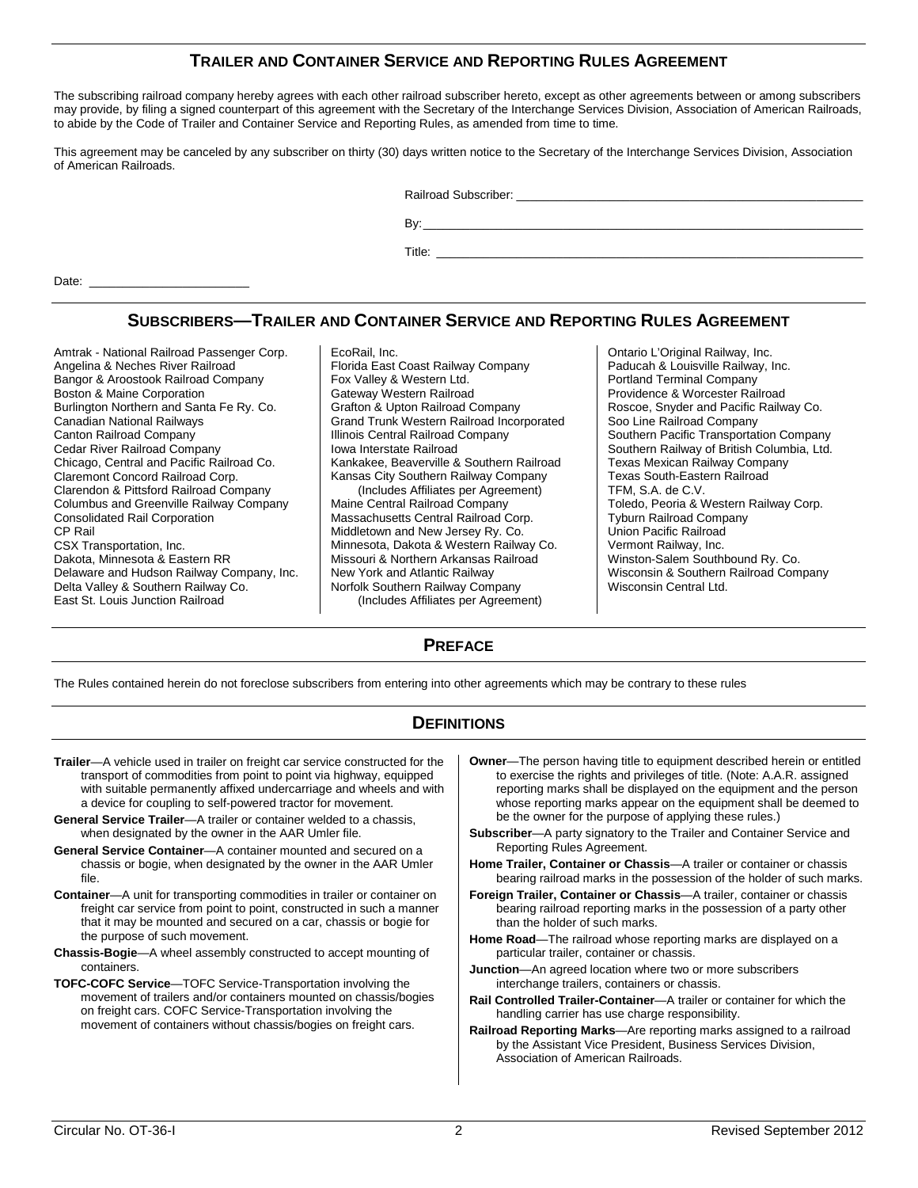# **TRAILER AND CONTAINER SERVICE AND REPORTING RULES AGREEMENT**

The subscribing railroad company hereby agrees with each other railroad subscriber hereto, except as other agreements between or among subscribers may provide, by filing a signed counterpart of this agreement with the Secretary of the Interchange Services Division, Association of American Railroads, to abide by the Code of Trailer and Container Service and Reporting Rules, as amended from time to time.

This agreement may be canceled by any subscriber on thirty (30) days written notice to the Secretary of the Interchange Services Division, Association of American Railroads.

Railroad Subscriber: **Example 3** 

Date:

# **SUBSCRIBERS—TRAILER AND CONTAINER SERVICE AND REPORTING RULES AGREEMENT**

Amtrak - National Railroad Passenger Corp. Angelina & Neches River Railroad Bangor & Aroostook Railroad Company Boston & Maine Corporation Burlington Northern and Santa Fe Ry. Co. Canadian National Railways Canton Railroad Company Cedar River Railroad Company Chicago, Central and Pacific Railroad Co. Claremont Concord Railroad Corp. Clarendon & Pittsford Railroad Company Columbus and Greenville Railway Company Consolidated Rail Corporation CP Rail CSX Transportation, Inc. Dakota, Minnesota & Eastern RR Delaware and Hudson Railway Company, Inc. Delta Valley & Southern Railway Co. East St. Louis Junction Railroad

EcoRail, Inc. Florida East Coast Railway Company Fox Valley & Western Ltd. Gateway Western Railroad Grafton & Upton Railroad Company Grand Trunk Western Railroad Incorporated Illinois Central Railroad Company Iowa Interstate Railroad Kankakee, Beaverville & Southern Railroad Kansas City Southern Railway Company (Includes Affiliates per Agreement) Maine Central Railroad Company Massachusetts Central Railroad Corp. Middletown and New Jersey Ry. Co. Minnesota, Dakota & Western Railway Co. Missouri & Northern Arkansas Railroad New York and Atlantic Railway Norfolk Southern Railway Company (Includes Affiliates per Agreement)

Ontario L'Original Railway, Inc. Paducah & Louisville Railway, Inc. Portland Terminal Company Providence & Worcester Railroad Roscoe, Snyder and Pacific Railway Co. Soo Line Railroad Company Southern Pacific Transportation Company Southern Railway of British Columbia, Ltd. Texas Mexican Railway Company Texas South-Eastern Railroad TFM, S.A. de C.V. Toledo, Peoria & Western Railway Corp. Tyburn Railroad Company Union Pacific Railroad Vermont Railway, Inc. Winston-Salem Southbound Ry. Co. Wisconsin & Southern Railroad Company Wisconsin Central Ltd.

By:\_\_\_\_\_\_\_\_\_\_\_\_\_\_\_\_\_\_\_\_\_\_\_\_\_\_\_\_\_\_\_\_\_\_\_\_\_\_\_\_\_\_\_\_\_\_\_\_\_\_\_\_\_\_\_\_\_\_\_\_\_\_\_\_\_\_ Title: \_\_\_\_\_\_\_\_\_\_\_\_\_\_\_\_\_\_\_\_\_\_\_\_\_\_\_\_\_\_\_\_\_\_\_\_\_\_\_\_\_\_\_\_\_\_\_\_\_\_\_\_\_\_\_\_\_\_\_\_\_\_\_\_

# **PREFACE**

The Rules contained herein do not foreclose subscribers from entering into other agreements which may be contrary to these rules

#### **DEFINITIONS**

- **Trailer**—A vehicle used in trailer on freight car service constructed for the transport of commodities from point to point via highway, equipped with suitable permanently affixed undercarriage and wheels and with a device for coupling to self-powered tractor for movement.
- **General Service Trailer**—A trailer or container welded to a chassis, when designated by the owner in the AAR Umler file.
- **General Service Container**—A container mounted and secured on a chassis or bogie, when designated by the owner in the AAR Umler file.
- **Container**—A unit for transporting commodities in trailer or container on freight car service from point to point, constructed in such a manner that it may be mounted and secured on a car, chassis or bogie for the purpose of such movement.
- **Chassis-Bogie**—A wheel assembly constructed to accept mounting of containers.
- **TOFC-COFC Service**—TOFC Service-Transportation involving the movement of trailers and/or containers mounted on chassis/bogies on freight cars. COFC Service-Transportation involving the movement of containers without chassis/bogies on freight cars.
- **Owner—The person having title to equipment described herein or entitled** to exercise the rights and privileges of title. (Note: A.A.R. assigned reporting marks shall be displayed on the equipment and the person whose reporting marks appear on the equipment shall be deemed to be the owner for the purpose of applying these rules.)
- **Subscriber**—A party signatory to the Trailer and Container Service and Reporting Rules Agreement.
- **Home Trailer, Container or Chassis**—A trailer or container or chassis bearing railroad marks in the possession of the holder of such marks.
- **Foreign Trailer, Container or Chassis**—A trailer, container or chassis bearing railroad reporting marks in the possession of a party other than the holder of such marks.
- **Home Road**—The railroad whose reporting marks are displayed on a particular trailer, container or chassis.
- **Junction**—An agreed location where two or more subscribers interchange trailers, containers or chassis.
- **Rail Controlled Trailer-Container**—A trailer or container for which the handling carrier has use charge responsibility.
- **Railroad Reporting Marks**—Are reporting marks assigned to a railroad by the Assistant Vice President, Business Services Division, Association of American Railroads.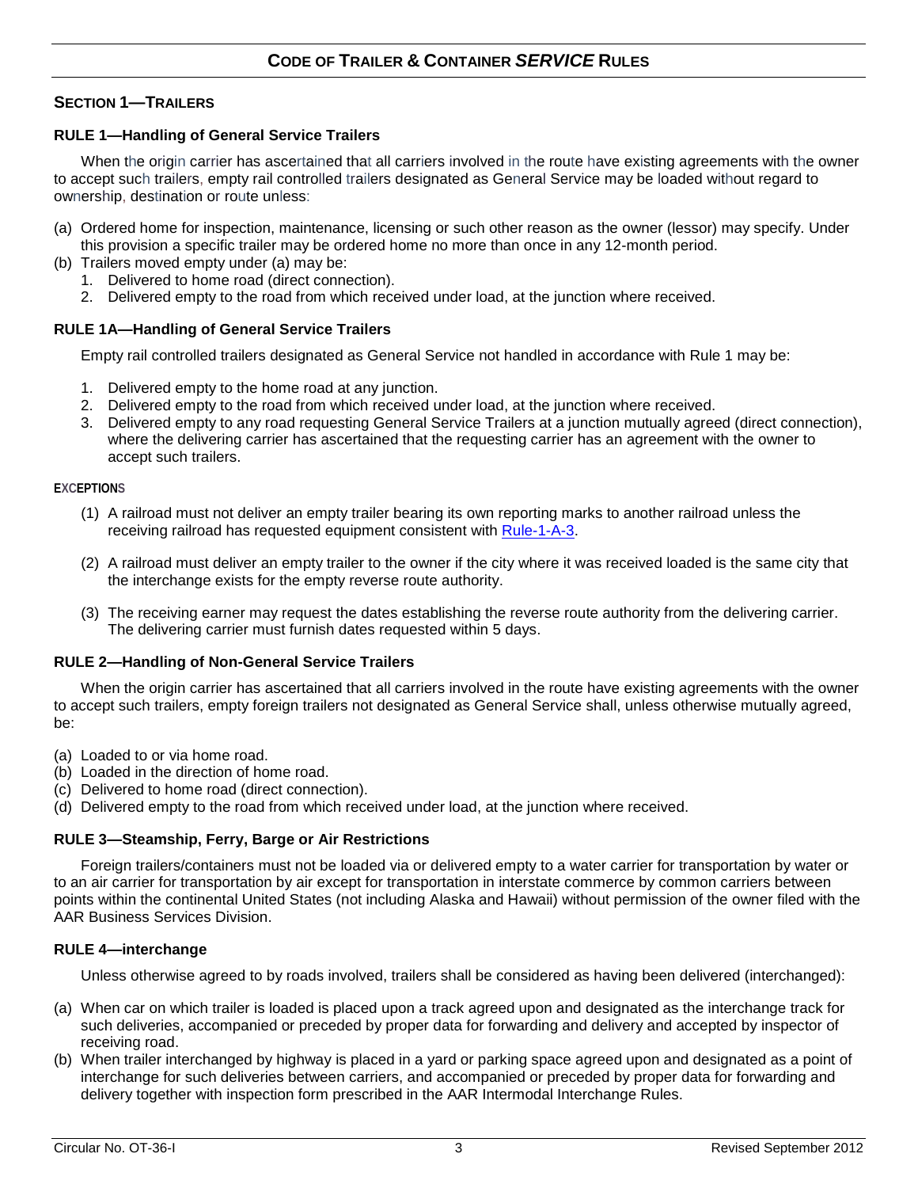# **SECTION 1—TRAILERS**

# <span id="page-2-1"></span>**RULE 1—Handling of General Service Trailers**

When the origin carrier has ascertained that all carriers involved in the route have existing agreements with the owner to accept such trailers, empty rail controlled trailers designated as General Service may be loaded without regard to ownership, destination or route unless:

- (a) Ordered home for inspection, maintenance, licensing or such other reason as the owner (lessor) may specify. Under this provision a specific trailer may be ordered home no more than once in any 12-month period.
- (b) Trailers moved empty under (a) may be:
	- 1. Delivered to home road (direct connection).
	- 2. Delivered empty to the road from which received under load, at the junction where received.

# <span id="page-2-2"></span>**RULE 1A—Handling of General Service Trailers**

Empty rail controlled trailers designated as General Service not handled in accordance with Rule 1 may be:

- 1. Delivered empty to the home road at any junction.
- 2. Delivered empty to the road from which received under load, at the junction where received.
- <span id="page-2-0"></span>3. Delivered empty to any road requesting General Service Trailers at a junction mutually agreed (direct connection), where the delivering carrier has ascertained that the requesting carrier has an agreement with the owner to accept such trailers.

#### **EXCEPTIONS**

- (1) A railroad must not deliver an empty trailer bearing its own reporting marks to another railroad unless the receiving railroad has requested equipment consistent with [Rule-1-A-3.](#page-2-0)
- (2) A railroad must deliver an empty trailer to the owner if the city where it was received loaded is the same city that the interchange exists for the empty reverse route authority.
- (3) The receiving earner may request the dates establishing the reverse route authority from the delivering carrier. The delivering carrier must furnish dates requested within 5 days.

#### <span id="page-2-3"></span>**RULE 2—Handling of Non-General Service Trailers**

When the origin carrier has ascertained that all carriers involved in the route have existing agreements with the owner to accept such trailers, empty foreign trailers not designated as General Service shall, unless otherwise mutually agreed, be:

- (a) Loaded to or via home road.
- (b) Loaded in the direction of home road.
- (c) Delivered to home road (direct connection).
- (d) Delivered empty to the road from which received under load, at the junction where received.

#### **RULE 3—Steamship, Ferry, Barge or Air Restrictions**

Foreign trailers/containers must not be loaded via or delivered empty to a water carrier for transportation by water or to an air carrier for transportation by air except for transportation in interstate commerce by common carriers between points within the continental United States (not including Alaska and Hawaii) without permission of the owner filed with the AAR Business Services Division.

#### **RULE 4—interchange**

Unless otherwise agreed to by roads involved, trailers shall be considered as having been delivered (interchanged):

- (a) When car on which trailer is loaded is placed upon a track agreed upon and designated as the interchange track for such deliveries, accompanied or preceded by proper data for forwarding and delivery and accepted by inspector of receiving road.
- (b) When trailer interchanged by highway is placed in a yard or parking space agreed upon and designated as a point of interchange for such deliveries between carriers, and accompanied or preceded by proper data for forwarding and delivery together with inspection form prescribed in the AAR Intermodal Interchange Rules.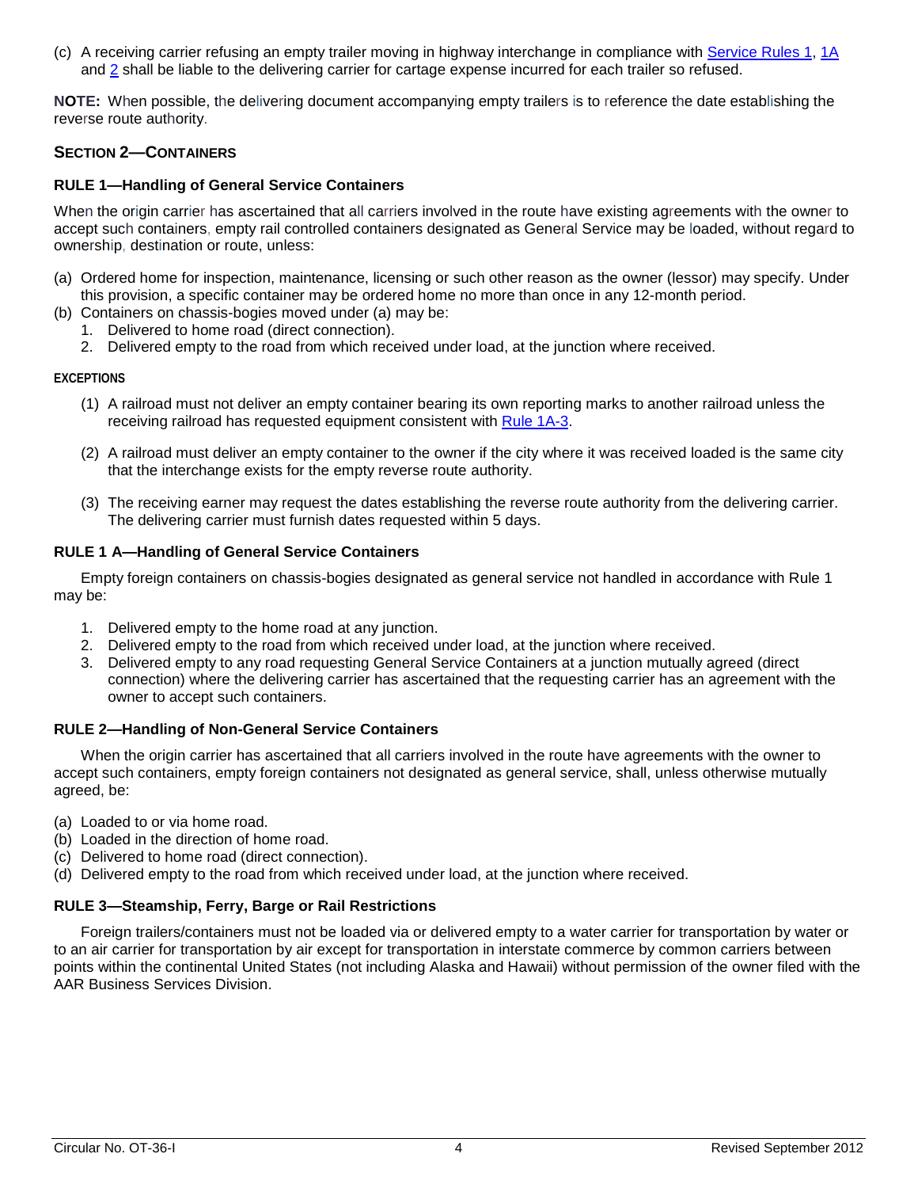(c) A receiving carrier refusing an empty trailer moving in highway interchange in compliance with [Service Rules 1,](#page-2-1) [1A](#page-2-2) and [2](#page-2-3) shall be liable to the delivering carrier for cartage expense incurred for each trailer so refused.

**NOTE:** When possible, the delivering document accompanying empty trailers is to reference the date establishing the reverse route authority.

#### **SECTION 2—CONTAINERS**

#### **RULE 1—Handling of General Service Containers**

When the origin carrier has ascertained that all carriers involved in the route have existing agreements with the owner to accept such containers, empty rail controlled containers designated as General Service may be loaded, without regard to ownership, destination or route, unless:

- (a) Ordered home for inspection, maintenance, licensing or such other reason as the owner (lessor) may specify. Under this provision, a specific container may be ordered home no more than once in any 12-month period.
- (b) Containers on chassis-bogies moved under (a) may be:
	- 1. Delivered to home road (direct connection).
	- 2. Delivered empty to the road from which received under load, at the junction where received.

#### **EXCEPTIONS**

- (1) A railroad must not deliver an empty container bearing its own reporting marks to another railroad unless the receiving railroad has requested equipment consistent with Rule [1A-3.](#page-2-0)
- (2) A railroad must deliver an empty container to the owner if the city where it was received loaded is the same city that the interchange exists for the empty reverse route authority.
- (3) The receiving earner may request the dates establishing the reverse route authority from the delivering carrier. The delivering carrier must furnish dates requested within 5 days.

#### **RULE 1 A—Handling of General Service Containers**

Empty foreign containers on chassis-bogies designated as general service not handled in accordance with Rule 1 may be:

- 1. Delivered empty to the home road at any junction.
- 2. Delivered empty to the road from which received under load, at the junction where received.
- 3. Delivered empty to any road requesting General Service Containers at a junction mutually agreed (direct connection) where the delivering carrier has ascertained that the requesting carrier has an agreement with the owner to accept such containers.

#### **RULE 2—Handling of Non-General Service Containers**

When the origin carrier has ascertained that all carriers involved in the route have agreements with the owner to accept such containers, empty foreign containers not designated as general service, shall, unless otherwise mutually agreed, be:

- (a) Loaded to or via home road.
- (b) Loaded in the direction of home road.
- (c) Delivered to home road (direct connection).
- (d) Delivered empty to the road from which received under load, at the junction where received.

#### **RULE 3—Steamship, Ferry, Barge or Rail Restrictions**

Foreign trailers/containers must not be loaded via or delivered empty to a water carrier for transportation by water or to an air carrier for transportation by air except for transportation in interstate commerce by common carriers between points within the continental United States (not including Alaska and Hawaii) without permission of the owner filed with the AAR Business Services Division.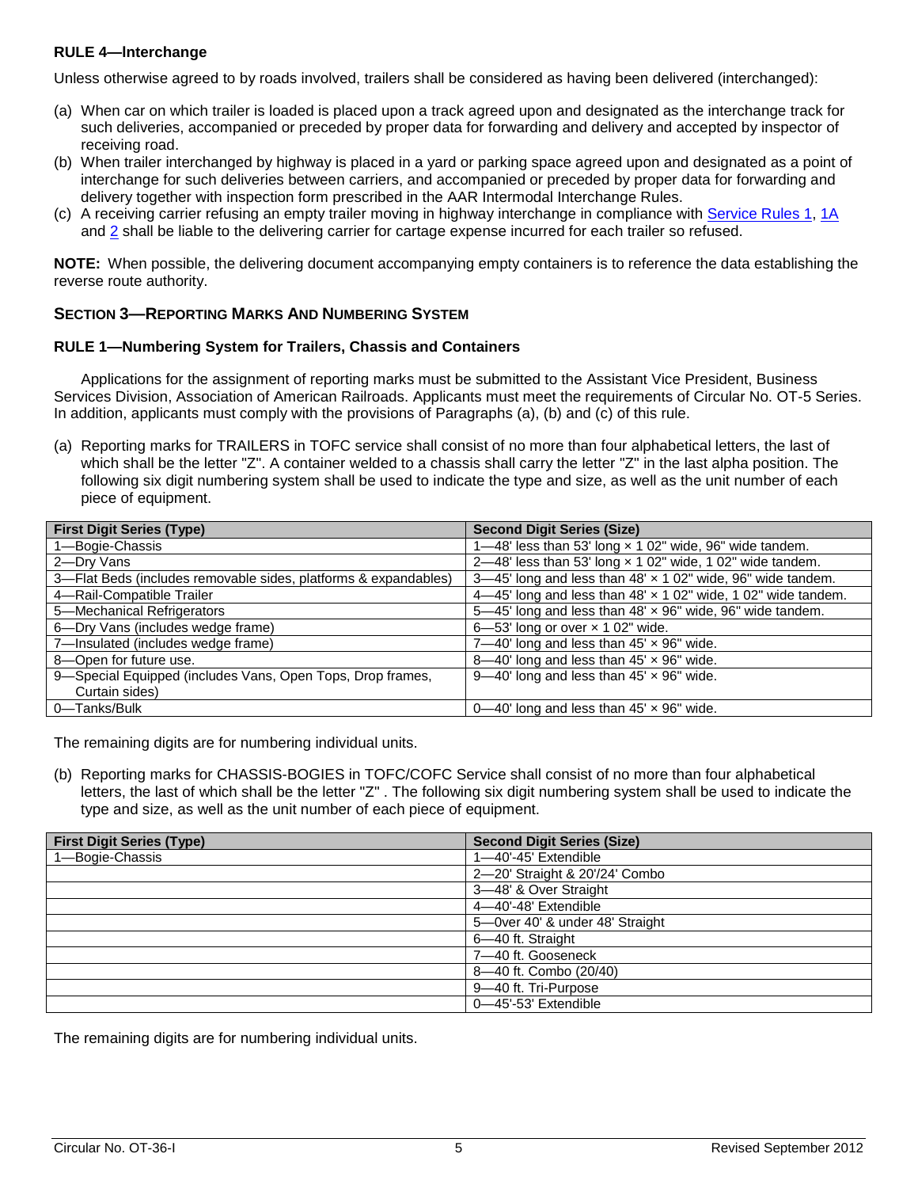#### <span id="page-4-0"></span>**RULE 4—lnterchange**

Unless otherwise agreed to by roads involved, trailers shall be considered as having been delivered (interchanged):

- (a) When car on which trailer is loaded is placed upon a track agreed upon and designated as the interchange track for such deliveries, accompanied or preceded by proper data for forwarding and delivery and accepted by inspector of receiving road.
- (b) When trailer interchanged by highway is placed in a yard or parking space agreed upon and designated as a point of interchange for such deliveries between carriers, and accompanied or preceded by proper data for forwarding and delivery together with inspection form prescribed in the AAR Intermodal Interchange Rules.
- (c) A receiving carrier refusing an empty trailer moving in highway interchange in compliance with [Service Rules 1,](#page-2-1) [1A](#page-2-2) and [2](#page-2-3) shall be liable to the delivering carrier for cartage expense incurred for each trailer so refused.

**NOTE:** When possible, the delivering document accompanying empty containers is to reference the data establishing the reverse route authority.

# **SECTION 3—REPORTING MARKS AND NUMBERING SYSTEM**

#### **RULE 1—Numbering System for Trailers, Chassis and Containers**

Applications for the assignment of reporting marks must be submitted to the Assistant Vice President, Business Services Division, Association of American Railroads. Applicants must meet the requirements of Circular No. OT-5 Series. In addition, applicants must comply with the provisions of Paragraphs (a), (b) and (c) of this rule.

(a) Reporting marks for TRAILERS in TOFC service shall consist of no more than four alphabetical letters, the last of which shall be the letter "Z". A container welded to a chassis shall carry the letter "Z" in the last alpha position. The following six digit numbering system shall be used to indicate the type and size, as well as the unit number of each piece of equipment.

| <b>First Digit Series (Type)</b>                                | <b>Second Digit Series (Size)</b>                                |
|-----------------------------------------------------------------|------------------------------------------------------------------|
| 1-Bogie-Chassis                                                 | 1-48' less than 53' long x 1 02" wide, 96" wide tandem.          |
| 2-Dry Vans                                                      | 2-48' less than 53' long $\times$ 1 02" wide, 1 02" wide tandem. |
| 3-Flat Beds (includes removable sides, platforms & expandables) | 3-45' long and less than 48' x 1 02" wide, 96" wide tandem.      |
| 4-Rail-Compatible Trailer                                       | 4-45' long and less than 48' x 1 02" wide, 1 02" wide tandem.    |
| 5-Mechanical Refrigerators                                      | 5-45' long and less than 48' x 96" wide, 96" wide tandem.        |
| 6-Dry Vans (includes wedge frame)                               | $6 - 53'$ long or over $\times$ 1 02" wide.                      |
| 7-Insulated (includes wedge frame)                              | 7-40' long and less than $45' \times 96''$ wide.                 |
| 8-Open for future use.                                          | 8-40' long and less than $45' \times 96''$ wide.                 |
| 9-Special Equipped (includes Vans, Open Tops, Drop frames,      | $9-40'$ long and less than $45' \times 96''$ wide.               |
| Curtain sides)                                                  |                                                                  |
| 0-Tanks/Bulk                                                    | $0$ —40' long and less than 45' $\times$ 96" wide.               |

The remaining digits are for numbering individual units.

(b) Reporting marks for CHASSIS-BOGIES in TOFC/COFC Service shall consist of no more than four alphabetical letters, the last of which shall be the letter "Z" . The following six digit numbering system shall be used to indicate the type and size, as well as the unit number of each piece of equipment.

| <b>First Digit Series (Type)</b> | <b>Second Digit Series (Size)</b> |
|----------------------------------|-----------------------------------|
| 1-Bogie-Chassis                  | 1-40'-45' Extendible              |
|                                  | 2-20' Straight & 20'/24' Combo    |
|                                  | 3-48' & Over Straight             |
|                                  | 4-40'-48' Extendible              |
|                                  | 5-Over 40' & under 48' Straight   |
|                                  | 6-40 ft. Straight                 |
|                                  | 7-40 ft. Gooseneck                |
|                                  | 8-40 ft. Combo (20/40)            |
|                                  | 9-40 ft. Tri-Purpose              |
|                                  | 0-45'-53' Extendible              |

The remaining digits are for numbering individual units.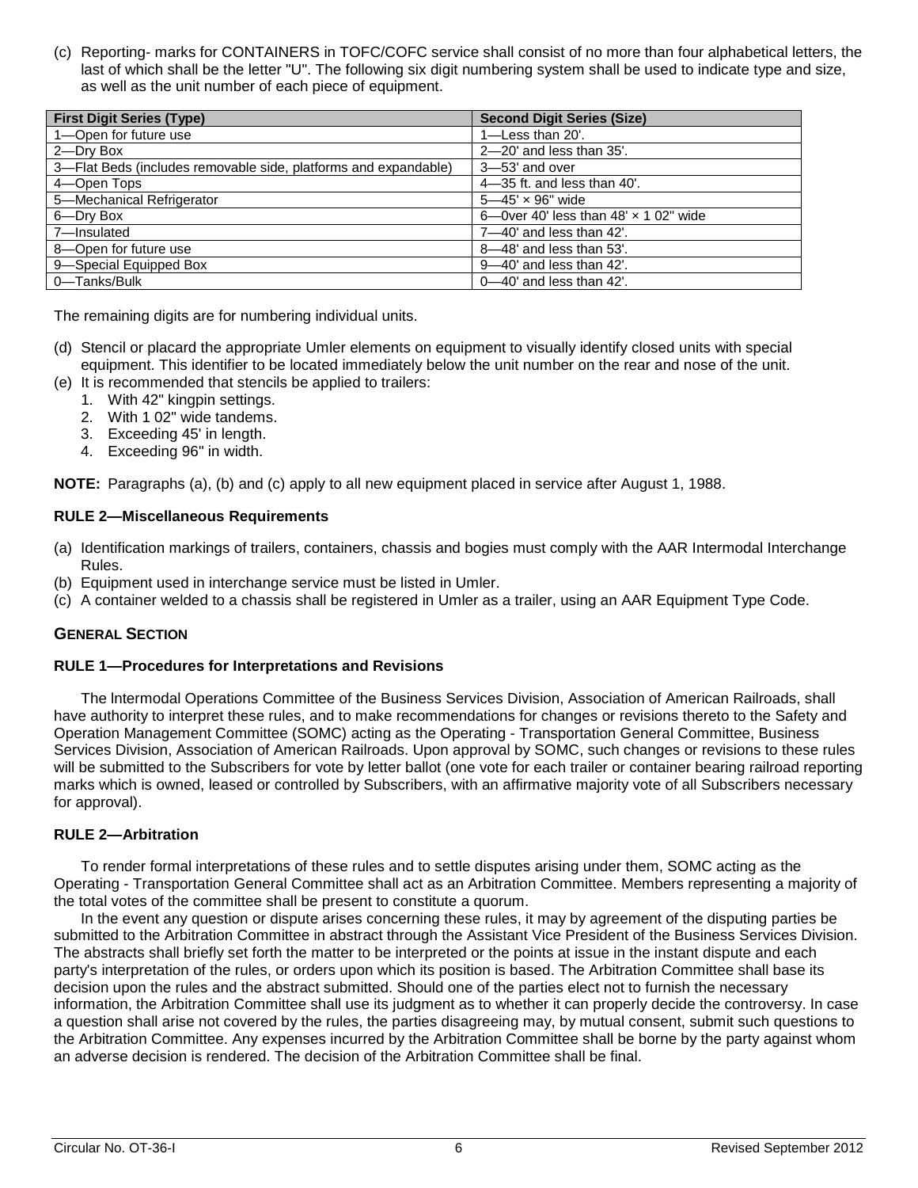(c) Reporting- marks for CONTAINERS in TOFC/COFC service shall consist of no more than four alphabetical letters, the last of which shall be the letter "U". The following six digit numbering system shall be used to indicate type and size, as well as the unit number of each piece of equipment.

| <b>First Digit Series (Type)</b>                                | <b>Second Digit Series (Size)</b>            |
|-----------------------------------------------------------------|----------------------------------------------|
| 1-Open for future use                                           | $1$ –Less than 20'.                          |
| 2-Dry Box                                                       | $2 - 20'$ and less than $35'$ .              |
| 3-Flat Beds (includes removable side, platforms and expandable) | $3 - 53'$ and over                           |
| 4-Open Tops                                                     | $4-35$ ft. and less than $40'$ .             |
| 5-Mechanical Refrigerator                                       | $5 - 45' \times 96''$ wide                   |
| 6-Dry Box                                                       | 6—0ver 40' less than $48' \times 102''$ wide |
| 7-Insulated                                                     | $7 - 40'$ and less than $42'$ .              |
| 8-Open for future use                                           | $8 - 48$ and less than 53'.                  |
| 9-Special Equipped Box                                          | $9 - 40'$ and less than $42'$ .              |
| 0-Tanks/Bulk                                                    | $0 - 40'$ and less than $42'$ .              |

The remaining digits are for numbering individual units.

- (d) Stencil or placard the appropriate Umler elements on equipment to visually identify closed units with special equipment. This identifier to be located immediately below the unit number on the rear and nose of the unit.
- (e) It is recommended that stencils be applied to trailers:
	- 1. With 42" kingpin settings.
	- 2. With 1 02" wide tandems.
	- 3. Exceeding 45' in length.
	- 4. Exceeding 96" in width.

**NOTE:** Paragraphs (a), (b) and (c) apply to all new equipment placed in service after August 1, 1988.

#### **RULE 2—Miscellaneous Requirements**

- (a) Identification markings of trailers, containers, chassis and bogies must comply with the AAR Intermodal Interchange Rules.
- (b) Equipment used in interchange service must be listed in Umler.
- (c) A container welded to a chassis shall be registered in Umler as a trailer, using an AAR Equipment Type Code.

#### **GENERAL SECTION**

#### **RULE 1—Procedures for Interpretations and Revisions**

The lntermodal Operations Committee of the Business Services Division, Association of American Railroads, shall have authority to interpret these rules, and to make recommendations for changes or revisions thereto to the Safety and Operation Management Committee (SOMC) acting as the Operating - Transportation General Committee, Business Services Division, Association of American Railroads. Upon approval by SOMC, such changes or revisions to these rules will be submitted to the Subscribers for vote by letter ballot (one vote for each trailer or container bearing railroad reporting marks which is owned, leased or controlled by Subscribers, with an affirmative majority vote of all Subscribers necessary for approval).

# **RULE 2—Arbitration**

To render formal interpretations of these rules and to settle disputes arising under them, SOMC acting as the Operating - Transportation General Committee shall act as an Arbitration Committee. Members representing a majority of the total votes of the committee shall be present to constitute a quorum.

In the event any question or dispute arises concerning these rules, it may by agreement of the disputing parties be submitted to the Arbitration Committee in abstract through the Assistant Vice President of the Business Services Division. The abstracts shall briefly set forth the matter to be interpreted or the points at issue in the instant dispute and each party's interpretation of the rules, or orders upon which its position is based. The Arbitration Committee shall base its decision upon the rules and the abstract submitted. Should one of the parties elect not to furnish the necessary information, the Arbitration Committee shall use its judgment as to whether it can properly decide the controversy. In case a question shall arise not covered by the rules, the parties disagreeing may, by mutual consent, submit such questions to the Arbitration Committee. Any expenses incurred by the Arbitration Committee shall be borne by the party against whom an adverse decision is rendered. The decision of the Arbitration Committee shall be final.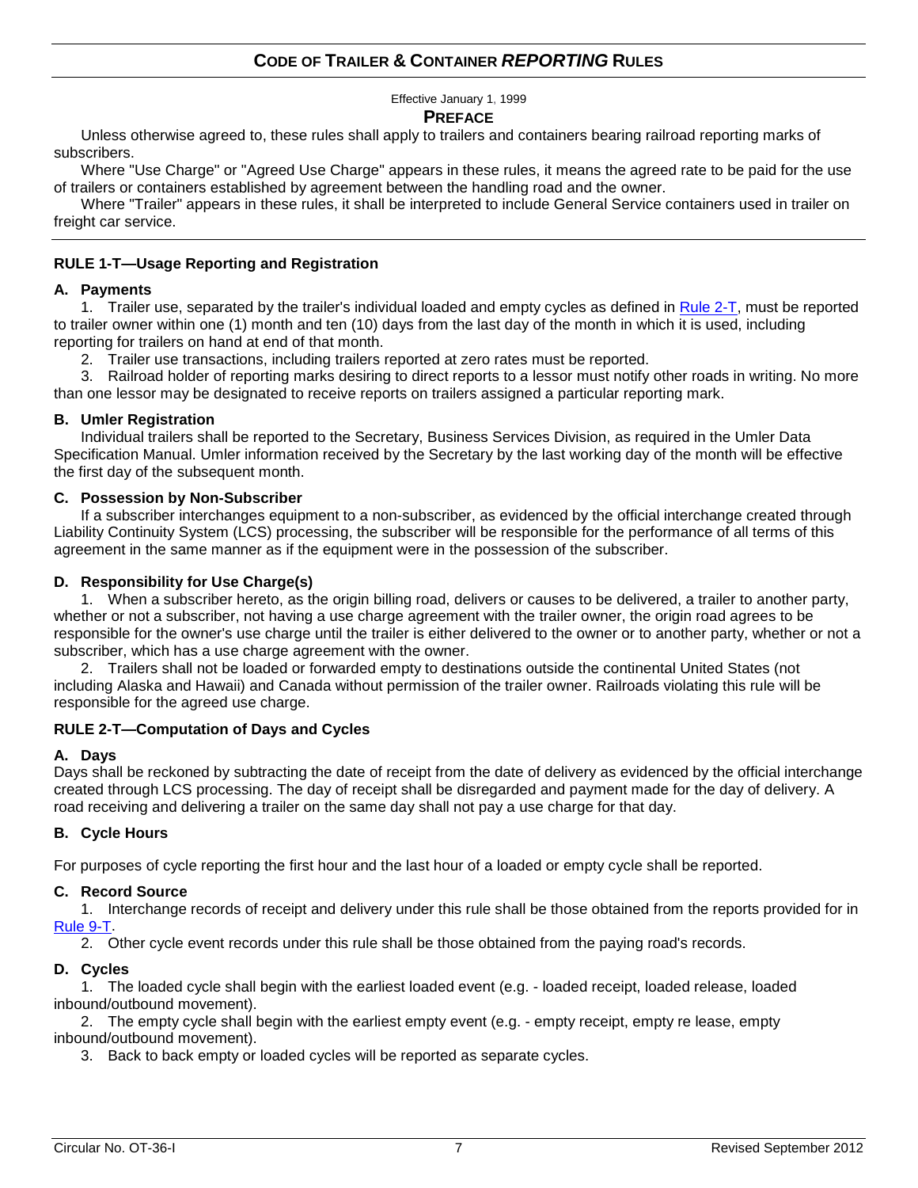# **CODE OF TRAILER & CONTAINER** *REPORTING* **RULES**

Effective January 1, 1999

#### **PREFACE**

Unless otherwise agreed to, these rules shall apply to trailers and containers bearing railroad reporting marks of subscribers.

Where "Use Charge" or "Agreed Use Charge" appears in these rules, it means the agreed rate to be paid for the use of trailers or containers established by agreement between the handling road and the owner.

Where "Trailer" appears in these rules, it shall be interpreted to include General Service containers used in trailer on freight car service.

#### **RULE 1-T—Usage Reporting and Registration**

#### **A. Payments**

1. Trailer use, separated by the trailer's individual loaded and empty cycles as defined in [Rule 2-T,](#page-6-0) must be reported to trailer owner within one (1) month and ten (10) days from the last day of the month in which it is used, including reporting for trailers on hand at end of that month.

2. Trailer use transactions, including trailers reported at zero rates must be reported.

3. Railroad holder of reporting marks desiring to direct reports to a lessor must notify other roads in writing. No more than one lessor may be designated to receive reports on trailers assigned a particular reporting mark.

#### **B. Umler Registration**

Individual trailers shall be reported to the Secretary, Business Services Division, as required in the Umler Data Specification Manual. Umler information received by the Secretary by the last working day of the month will be effective the first day of the subsequent month.

#### **C. Possession by Non-Subscriber**

If a subscriber interchanges equipment to a non-subscriber, as evidenced by the official interchange created through Liability Continuity System (LCS) processing, the subscriber will be responsible for the performance of all terms of this agreement in the same manner as if the equipment were in the possession of the subscriber.

#### **D. Responsibility for Use Charge(s)**

1. When a subscriber hereto, as the origin billing road, delivers or causes to be delivered, a trailer to another party, whether or not a subscriber, not having a use charge agreement with the trailer owner, the origin road agrees to be responsible for the owner's use charge until the trailer is either delivered to the owner or to another party, whether or not a subscriber, which has a use charge agreement with the owner.

2. Trailers shall not be loaded or forwarded empty to destinations outside the continental United States (not including Alaska and Hawaii) and Canada without permission of the trailer owner. Railroads violating this rule will be responsible for the agreed use charge.

#### <span id="page-6-0"></span>**RULE 2-T—Computation of Days and Cycles**

#### **A. Days**

Days shall be reckoned by subtracting the date of receipt from the date of delivery as evidenced by the official interchange created through LCS processing. The day of receipt shall be disregarded and payment made for the day of delivery. A road receiving and delivering a trailer on the same day shall not pay a use charge for that day.

#### **B. Cycle Hours**

For purposes of cycle reporting the first hour and the last hour of a loaded or empty cycle shall be reported.

#### **C. Record Source**

1. Interchange records of receipt and delivery under this rule shall be those obtained from the reports provided for in [Rule 9-T.](#page-8-0)

2. Other cycle event records under this rule shall be those obtained from the paying road's records.

#### **D. Cycles**

1. The loaded cycle shall begin with the earliest loaded event (e.g. - loaded receipt, loaded release, loaded inbound/outbound movement).

2. The empty cycle shall begin with the earliest empty event (e.g. - empty receipt, empty re lease, empty inbound/outbound movement).

3. Back to back empty or loaded cycles will be reported as separate cycles.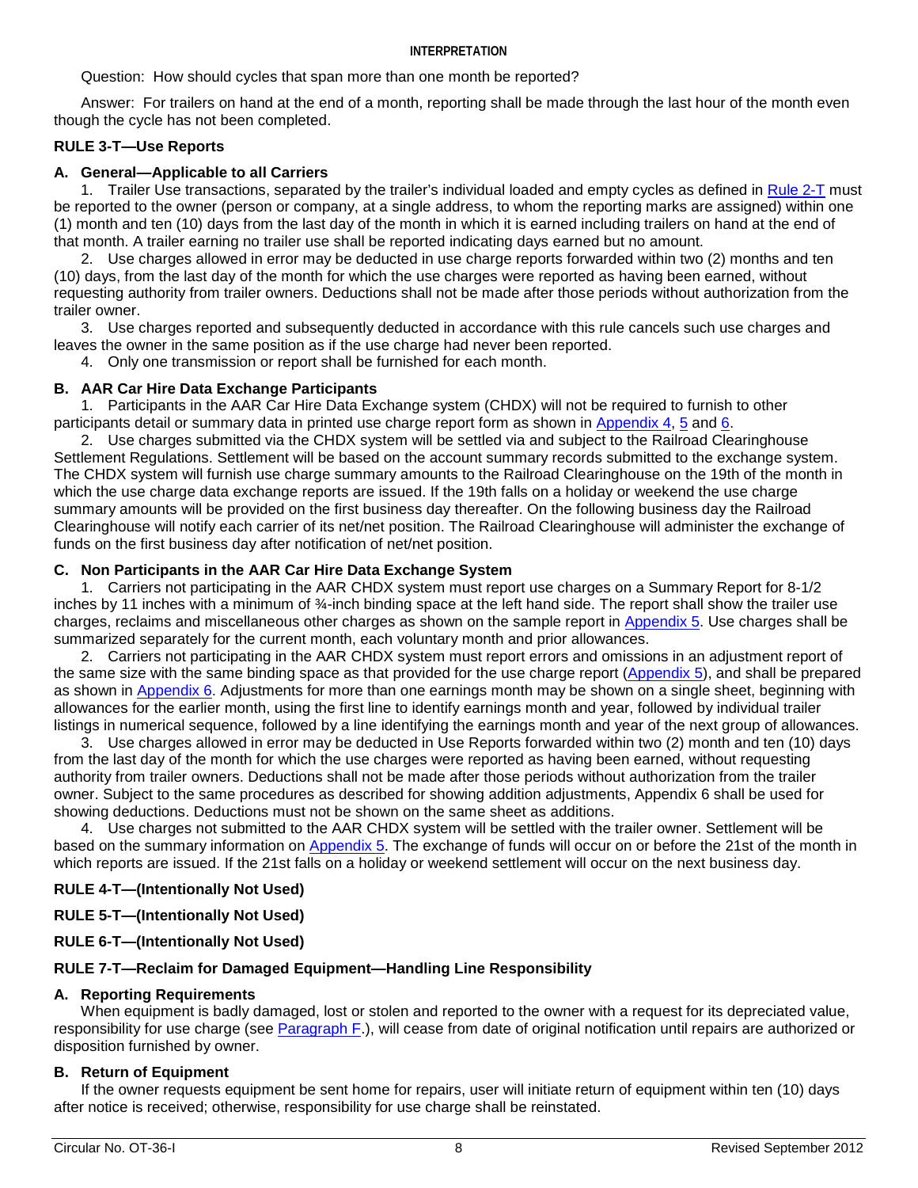#### **INTERPRETATION**

Question: How should cycles that span more than one month be reported?

Answer: For trailers on hand at the end of a month, reporting shall be made through the last hour of the month even though the cycle has not been completed.

# **RULE 3-T—Use Reports**

# **A. General—Applicable to all Carriers**

1. Trailer Use transactions, separated by the trailer's individual loaded and empty cycles as defined in [Rule 2-T](#page-6-0) must be reported to the owner (person or company, at a single address, to whom the reporting marks are assigned) within one (1) month and ten (10) days from the last day of the month in which it is earned including trailers on hand at the end of that month. A trailer earning no trailer use shall be reported indicating days earned but no amount.

2. Use charges allowed in error may be deducted in use charge reports forwarded within two (2) months and ten (10) days, from the last day of the month for which the use charges were reported as having been earned, without requesting authority from trailer owners. Deductions shall not be made after those periods without authorization from the trailer owner.

3. Use charges reported and subsequently deducted in accordance with this rule cancels such use charges and leaves the owner in the same position as if the use charge had never been reported.

4. Only one transmission or report shall be furnished for each month.

#### **B. AAR Car Hire Data Exchange Participants**

1. Participants in the AAR Car Hire Data Exchange system (CHDX) will not be required to furnish to other participants detail or summary data in printed use charge report form as shown in [Appendix 4,](#page-14-0) [5](#page-15-0) and [6.](#page-16-0)

2. Use charges submitted via the CHDX system will be settled via and subject to the Railroad Clearinghouse Settlement Regulations. Settlement will be based on the account summary records submitted to the exchange system. The CHDX system will furnish use charge summary amounts to the Railroad Clearinghouse on the 19th of the month in which the use charge data exchange reports are issued. If the 19th falls on a holiday or weekend the use charge summary amounts will be provided on the first business day thereafter. On the following business day the Railroad Clearinghouse will notify each carrier of its net/net position. The Railroad Clearinghouse will administer the exchange of funds on the first business day after notification of net/net position.

# **C. Non Participants in the AAR Car Hire Data Exchange System**

1. Carriers not participating in the AAR CHDX system must report use charges on a Summary Report for 8-1/2 inches by 11 inches with a minimum of ¾-inch binding space at the left hand side. The report shall show the trailer use charges, reclaims and miscellaneous other charges as shown on the sample report in [Appendix 5.](#page-15-0) Use charges shall be summarized separately for the current month, each voluntary month and prior allowances.

2. Carriers not participating in the AAR CHDX system must report errors and omissions in an adjustment report of the same size with the same binding space as that provided for the use charge report [\(Appendix 5\)](#page-15-0), and shall be prepared as shown in [Appendix 6.](#page-16-0) Adjustments for more than one earnings month may be shown on a single sheet, beginning with allowances for the earlier month, using the first line to identify earnings month and year, followed by individual trailer listings in numerical sequence, followed by a line identifying the earnings month and year of the next group of allowances.

3. Use charges allowed in error may be deducted in Use Reports forwarded within two (2) month and ten (10) days from the last day of the month for which the use charges were reported as having been earned, without requesting authority from trailer owners. Deductions shall not be made after those periods without authorization from the trailer owner. Subject to the same procedures as described for showing addition adjustments, Appendix 6 shall be used for showing deductions. Deductions must not be shown on the same sheet as additions.

4. Use charges not submitted to the AAR CHDX system will be settled with the trailer owner. Settlement will be based on the summary information on [Appendix 5.](#page-15-0) The exchange of funds will occur on or before the 21st of the month in which reports are issued. If the 21st falls on a holiday or weekend settlement will occur on the next business day.

#### **RULE 4-T—(Intentionally Not Used)**

#### **RULE 5-T—(Intentionally Not Used)**

#### **RULE 6-T—(Intentionally Not Used)**

#### <span id="page-7-1"></span>**RULE 7-T—Reclaim for Damaged Equipment—Handling Line Responsibility**

#### **A. Reporting Requirements**

When equipment is badly damaged, lost or stolen and reported to the owner with a request for its depreciated value, responsibility for use charge (see [Paragraph F.](#page-8-1)), will cease from date of original notification until repairs are authorized or disposition furnished by owner.

#### <span id="page-7-0"></span>**B. Return of Equipment**

If the owner requests equipment be sent home for repairs, user will initiate return of equipment within ten (10) days after notice is received; otherwise, responsibility for use charge shall be reinstated.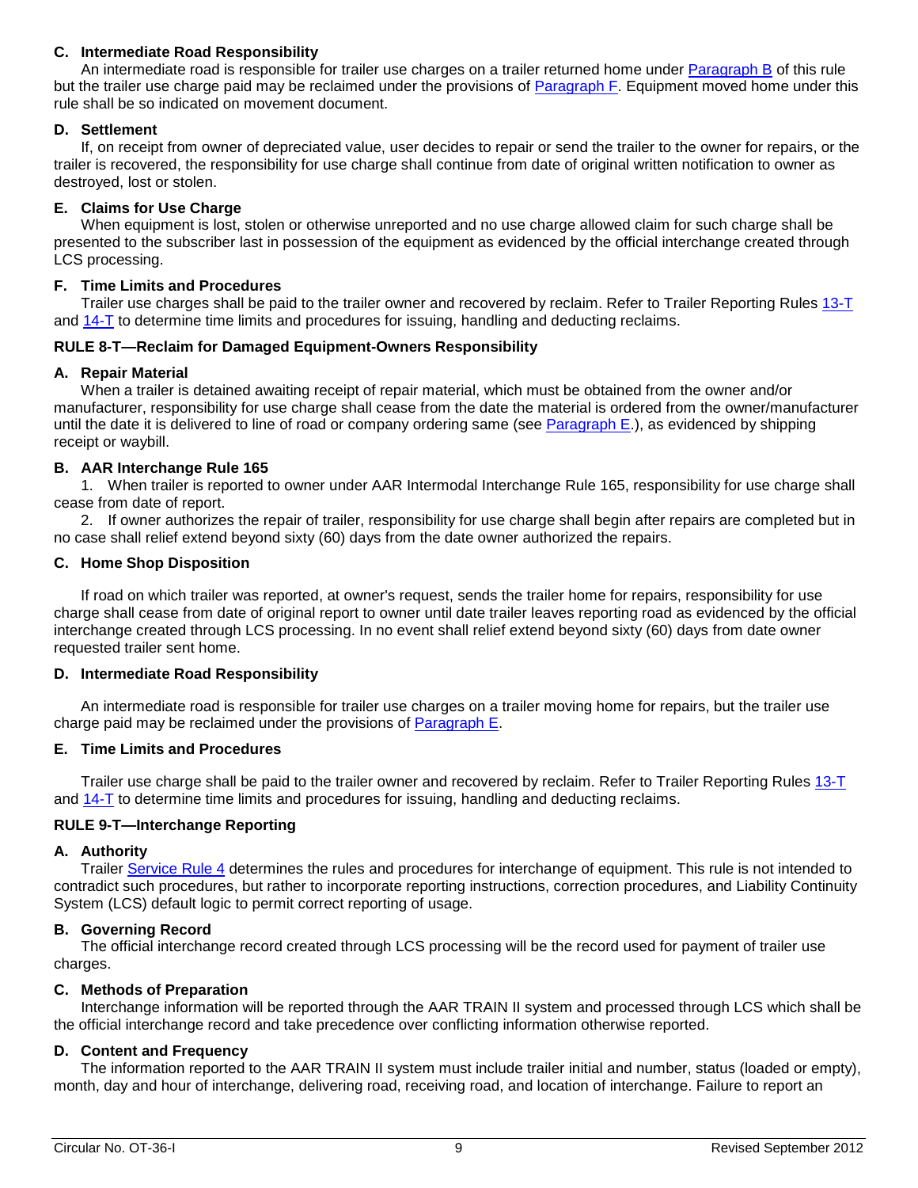# **C. Intermediate Road Responsibility**

An intermediate road is responsible for trailer use charges on a trailer returned home under [Paragraph B](#page-7-0) of this rule but the trailer use charge paid may be reclaimed under the provisions of [Paragraph F.](#page-8-1) Equipment moved home under this rule shall be so indicated on movement document.

#### **D. Settlement**

If, on receipt from owner of depreciated value, user decides to repair or send the trailer to the owner for repairs, or the trailer is recovered, the responsibility for use charge shall continue from date of original written notification to owner as destroyed, lost or stolen.

#### **E. Claims for Use Charge**

When equipment is lost, stolen or otherwise unreported and no use charge allowed claim for such charge shall be presented to the subscriber last in possession of the equipment as evidenced by the official interchange created through LCS processing.

#### <span id="page-8-1"></span>**F. Time Limits and Procedures**

Trailer use charges shall be paid to the trailer owner and recovered by reclaim. Refer to Trailer Reporting Rules [13-T](#page-11-0) and [14-T](#page-12-0) to determine time limits and procedures for issuing, handling and deducting reclaims.

#### <span id="page-8-3"></span>**RULE 8-T—Reclaim for Damaged Equipment-Owners Responsibility**

#### **A. Repair Material**

When a trailer is detained awaiting receipt of repair material, which must be obtained from the owner and/or manufacturer, responsibility for use charge shall cease from the date the material is ordered from the owner/manufacturer until the date it is delivered to line of road or company ordering same (see [Paragraph E.](#page-8-2)), as evidenced by shipping receipt or waybill.

#### **B. AAR Interchange Rule 165**

1. When trailer is reported to owner under AAR Intermodal Interchange Rule 165, responsibility for use charge shall cease from date of report.

2. If owner authorizes the repair of trailer, responsibility for use charge shall begin after repairs are completed but in no case shall relief extend beyond sixty (60) days from the date owner authorized the repairs.

#### **C. Home Shop Disposition**

If road on which trailer was reported, at owner's request, sends the trailer home for repairs, responsibility for use charge shall cease from date of original report to owner until date trailer leaves reporting road as evidenced by the official interchange created through LCS processing. In no event shall relief extend beyond sixty (60) days from date owner requested trailer sent home.

#### **D. Intermediate Road Responsibility**

An intermediate road is responsible for trailer use charges on a trailer moving home for repairs, but the trailer use charge paid may be reclaimed under the provisions of [Paragraph E.](#page-8-2)

#### <span id="page-8-2"></span>**E. Time Limits and Procedures**

Trailer use charge shall be paid to the trailer owner and recovered by reclaim. Refer to Trailer Reporting Rules [13-T](#page-11-0) and [14-T](#page-12-0) to determine time limits and procedures for issuing, handling and deducting reclaims.

#### <span id="page-8-0"></span>**RULE 9-T—Interchange Reporting**

#### **A. Authority**

Trailer [Service Rule 4](#page-4-0) determines the rules and procedures for interchange of equipment. This rule is not intended to contradict such procedures, but rather to incorporate reporting instructions, correction procedures, and Liability Continuity System (LCS) default logic to permit correct reporting of usage.

#### **B. Governing Record**

The official interchange record created through LCS processing will be the record used for payment of trailer use charges.

#### **C. Methods of Preparation**

Interchange information will be reported through the AAR TRAIN II system and processed through LCS which shall be the official interchange record and take precedence over conflicting information otherwise reported.

#### **D. Content and Frequency**

The information reported to the AAR TRAIN II system must include trailer initial and number, status (loaded or empty), month, day and hour of interchange, delivering road, receiving road, and location of interchange. Failure to report an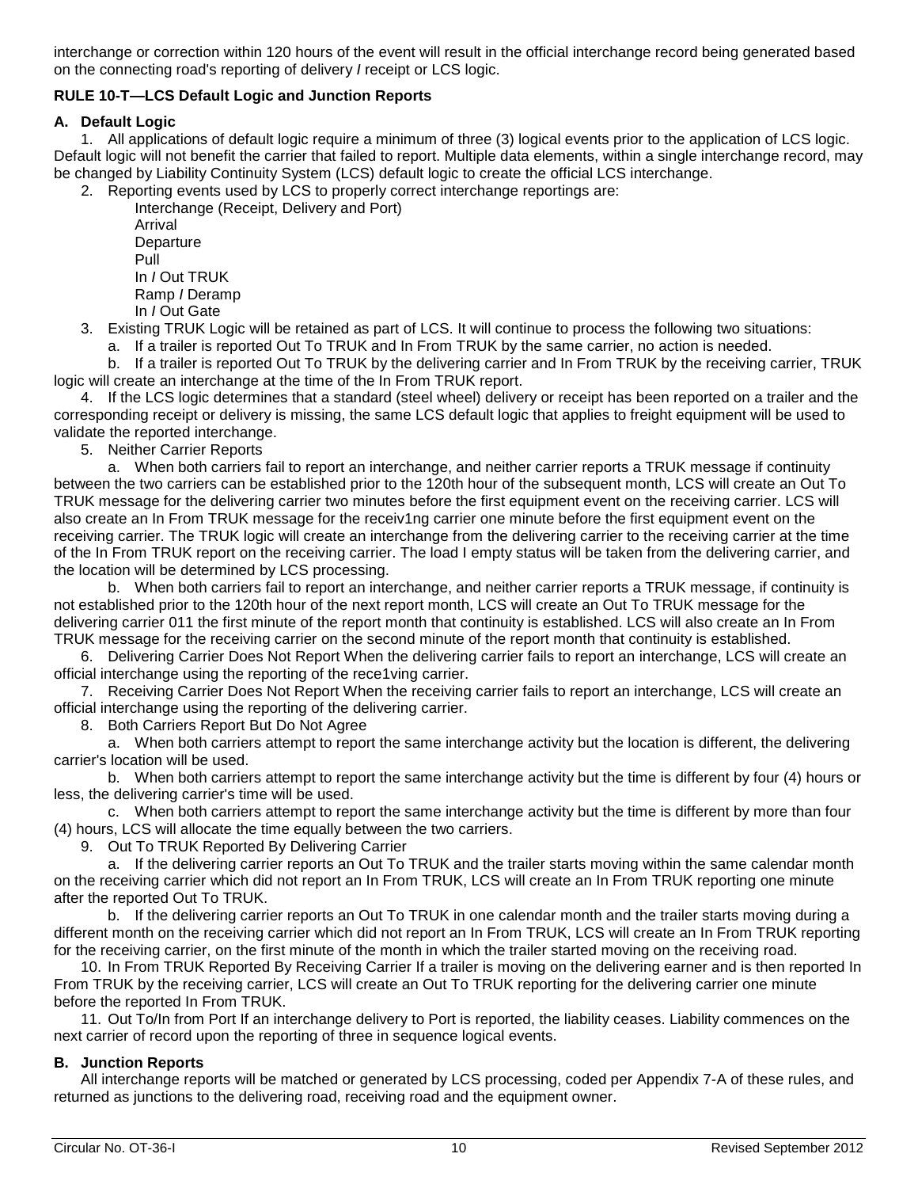interchange or correction within 120 hours of the event will result in the official interchange record being generated based on the connecting road's reporting of delivery *I* receipt or LCS logic.

# **RULE 10-T—LCS Default Logic and Junction Reports**

#### **A. Default Logic**

1. All applications of default logic require a minimum of three (3) logical events prior to the application of LCS logic. Default logic will not benefit the carrier that failed to report. Multiple data elements, within a single interchange record, may be changed by Liability Continuity System (LCS) default logic to create the official LCS interchange.

2. Reporting events used by LCS to properly correct interchange reportings are: Interchange (Receipt, Delivery and Port)

Arrival **Departure** Pull In *I* Out TRUK Ramp *I* Deramp In *I* Out Gate

3. Existing TRUK Logic will be retained as part of LCS. It will continue to process the following two situations:

a. If a trailer is reported Out To TRUK and In From TRUK by the same carrier, no action is needed.

b. If a trailer is reported Out To TRUK by the delivering carrier and In From TRUK by the receiving carrier, TRUK logic will create an interchange at the time of the In From TRUK report.

4. If the LCS logic determines that a standard (steel wheel) delivery or receipt has been reported on a trailer and the corresponding receipt or delivery is missing, the same LCS default logic that applies to freight equipment will be used to validate the reported interchange.

5. Neither Carrier Reports

a. When both carriers fail to report an interchange, and neither carrier reports a TRUK message if continuity between the two carriers can be established prior to the 120th hour of the subsequent month, LCS will create an Out To TRUK message for the delivering carrier two minutes before the first equipment event on the receiving carrier. LCS will also create an In From TRUK message for the receiv1ng carrier one minute before the first equipment event on the receiving carrier. The TRUK logic will create an interchange from the delivering carrier to the receiving carrier at the time of the In From TRUK report on the receiving carrier. The load I empty status will be taken from the delivering carrier, and the location will be determined by LCS processing.

b. When both carriers fail to report an interchange, and neither carrier reports a TRUK message, if continuity is not established prior to the 120th hour of the next report month, LCS will create an Out To TRUK message for the delivering carrier 011 the first minute of the report month that continuity is established. LCS will also create an In From TRUK message for the receiving carrier on the second minute of the report month that continuity is established.

6. Delivering Carrier Does Not Report When the delivering carrier fails to report an interchange, LCS will create an official interchange using the reporting of the rece1ving carrier.

7. Receiving Carrier Does Not Report When the receiving carrier fails to report an interchange, LCS will create an official interchange using the reporting of the delivering carrier.

8. Both Carriers Report But Do Not Agree

a. When both carriers attempt to report the same interchange activity but the location is different, the delivering carrier's location will be used.

b. When both carriers attempt to report the same interchange activity but the time is different by four (4) hours or less, the delivering carrier's time will be used.

c. When both carriers attempt to report the same interchange activity but the time is different by more than four (4) hours, LCS will allocate the time equally between the two carriers.

9. Out To TRUK Reported By Delivering Carrier

a. If the delivering carrier reports an Out To TRUK and the trailer starts moving within the same calendar month on the receiving carrier which did not report an In From TRUK, LCS will create an In From TRUK reporting one minute after the reported Out To TRUK.

b. If the delivering carrier reports an Out To TRUK in one calendar month and the trailer starts moving during a different month on the receiving carrier which did not report an In From TRUK, LCS will create an In From TRUK reporting for the receiving carrier, on the first minute of the month in which the trailer started moving on the receiving road.

10. In From TRUK Reported By Receiving Carrier If a trailer is moving on the delivering earner and is then reported In From TRUK by the receiving carrier, LCS will create an Out To TRUK reporting for the delivering carrier one minute before the reported In From TRUK.

11. Out To/In from Port If an interchange delivery to Port is reported, the liability ceases. Liability commences on the next carrier of record upon the reporting of three in sequence logical events.

# **B. Junction Reports**

All interchange reports will be matched or generated by LCS processing, coded per Appendix 7-A of these rules, and returned as junctions to the delivering road, receiving road and the equipment owner.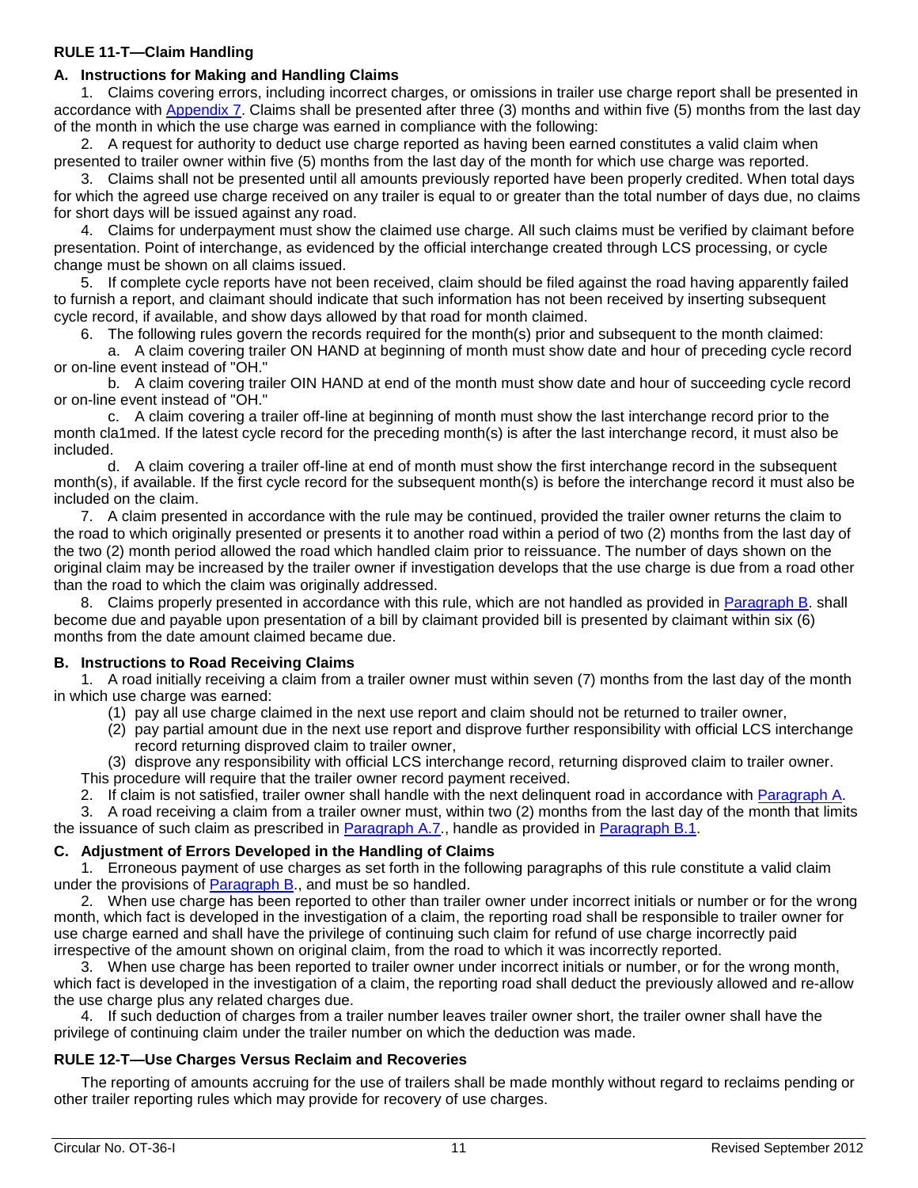#### **RULE 11-T—Claim Handling**

# <span id="page-10-1"></span>**A. Instructions for Making and Handling Claims**

1. Claims covering errors, including incorrect charges, or omissions in trailer use charge report shall be presented in accordance with [Appendix 7.](#page-17-0) Claims shall be presented after three (3) months and within five (5) months from the last day of the month in which the use charge was earned in compliance with the following:

2. A request for authority to deduct use charge reported as having been earned constitutes a valid claim when presented to trailer owner within five (5) months from the last day of the month for which use charge was reported.

3. Claims shall not be presented until all amounts previously reported have been properly credited. When total days for which the agreed use charge received on any trailer is equal to or greater than the total number of days due, no claims for short days will be issued against any road.

4. Claims for underpayment must show the claimed use charge. All such claims must be verified by claimant before presentation. Point of interchange, as evidenced by the official interchange created through LCS processing, or cycle change must be shown on all claims issued.

5. If complete cycle reports have not been received, claim should be filed against the road having apparently failed to furnish a report, and claimant should indicate that such information has not been received by inserting subsequent cycle record, if available, and show days allowed by that road for month claimed.

6. The following rules govern the records required for the month(s) prior and subsequent to the month claimed:

a. A claim covering trailer ON HAND at beginning of month must show date and hour of preceding cycle record or on-line event instead of "OH."

b. A claim covering trailer OIN HAND at end of the month must show date and hour of succeeding cycle record or on-line event instead of "OH."

c. A claim covering a trailer off-line at beginning of month must show the last interchange record prior to the month cla1med. If the latest cycle record for the preceding month(s) is after the last interchange record, it must also be included.

d. A claim covering a trailer off-line at end of month must show the first interchange record in the subsequent month(s), if available. If the first cycle record for the subsequent month(s) is before the interchange record it must also be included on the claim.

<span id="page-10-2"></span>7. A claim presented in accordance with the rule may be continued, provided the trailer owner returns the claim to the road to which originally presented or presents it to another road within a period of two (2) months from the last day of the two (2) month period allowed the road which handled claim prior to reissuance. The number of days shown on the original claim may be increased by the trailer owner if investigation develops that the use charge is due from a road other than the road to which the claim was originally addressed.

8. Claims properly presented in accordance with this rule, which are not handled as provided in [Paragraph B.](#page-10-0) shall become due and payable upon presentation of a bill by claimant provided bill is presented by claimant within six (6) months from the date amount claimed became due.

#### <span id="page-10-0"></span>**B. Instructions to Road Receiving Claims**

<span id="page-10-3"></span>1. A road initially receiving a claim from a trailer owner must within seven (7) months from the last day of the month in which use charge was earned:

- (1) pay all use charge claimed in the next use report and claim should not be returned to trailer owner,
- (2) pay partial amount due in the next use report and disprove further responsibility with official LCS interchange record returning disproved claim to trailer owner,

(3) disprove any responsibility with official LCS interchange record, returning disproved claim to trailer owner. This procedure will require that the trailer owner record payment received.

2. If claim is not satisfied, trailer owner shall handle with the next delinquent road in accordance with [Paragraph A.](#page-10-1)

3. A road receiving a claim from a trailer owner must, within two (2) months from the last day of the month that limits the issuance of such claim as prescribed in [Paragraph A.7.](#page-10-2), handle as provided in [Paragraph B.1.](#page-10-3)

#### **C. Adjustment of Errors Developed in the Handling of Claims**

1. Erroneous payment of use charges as set forth in the following paragraphs of this rule constitute a valid claim under the provisions of [Paragraph B.](#page-10-0), and must be so handled.

2. When use charge has been reported to other than trailer owner under incorrect initials or number or for the wrong month, which fact is developed in the investigation of a claim, the reporting road shall be responsible to trailer owner for use charge earned and shall have the privilege of continuing such claim for refund of use charge incorrectly paid irrespective of the amount shown on original claim, from the road to which it was incorrectly reported.

3. When use charge has been reported to trailer owner under incorrect initials or number, or for the wrong month, which fact is developed in the investigation of a claim, the reporting road shall deduct the previously allowed and re-allow the use charge plus any related charges due.

4. If such deduction of charges from a trailer number leaves trailer owner short, the trailer owner shall have the privilege of continuing claim under the trailer number on which the deduction was made.

#### **RULE 12-T—Use Charges Versus Reclaim and Recoveries**

The reporting of amounts accruing for the use of trailers shall be made monthly without regard to reclaims pending or other trailer reporting rules which may provide for recovery of use charges.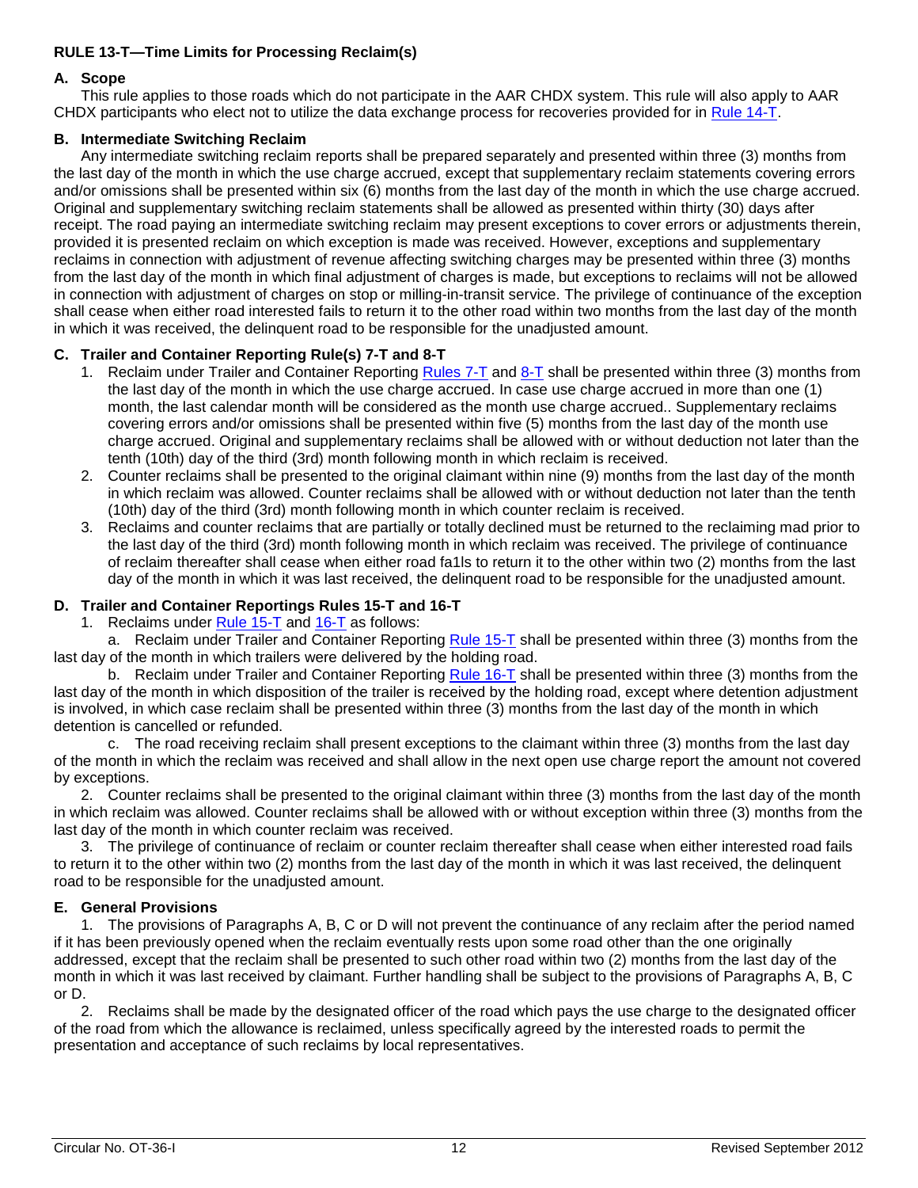#### <span id="page-11-0"></span>**RULE 13-T—Time Limits for Processing Reclaim(s)**

#### **A. Scope**

This rule applies to those roads which do not participate in the AAR CHDX system. This rule will also apply to AAR CHDX participants who elect not to utilize the data exchange process for recoveries provided for in [Rule 14-T.](#page-12-0)

#### **B. Intermediate Switching Reclaim**

Any intermediate switching reclaim reports shall be prepared separately and presented within three (3) months from the last day of the month in which the use charge accrued, except that supplementary reclaim statements covering errors and/or omissions shall be presented within six (6) months from the last day of the month in which the use charge accrued. Original and supplementary switching reclaim statements shall be allowed as presented within thirty (30) days after receipt. The road paying an intermediate switching reclaim may present exceptions to cover errors or adjustments therein, provided it is presented reclaim on which exception is made was received. However, exceptions and supplementary reclaims in connection with adjustment of revenue affecting switching charges may be presented within three (3) months from the last day of the month in which final adjustment of charges is made, but exceptions to reclaims will not be allowed in connection with adjustment of charges on stop or milling-in-transit service. The privilege of continuance of the exception shall cease when either road interested fails to return it to the other road within two months from the last day of the month in which it was received, the delinquent road to be responsible for the unadjusted amount.

# **C. Trailer and Container Reporting Rule(s) 7-T and 8-T**

- 1. Reclaim under Trailer and Container Reporting [Rules 7-T](#page-7-1) and [8-T](#page-8-3) shall be presented within three (3) months from the last day of the month in which the use charge accrued. In case use charge accrued in more than one (1) month, the last calendar month will be considered as the month use charge accrued.. Supplementary reclaims covering errors and/or omissions shall be presented within five (5) months from the last day of the month use charge accrued. Original and supplementary reclaims shall be allowed with or without deduction not later than the tenth (10th) day of the third (3rd) month following month in which reclaim is received.
- 2. Counter reclaims shall be presented to the original claimant within nine (9) months from the last day of the month in which reclaim was allowed. Counter reclaims shall be allowed with or without deduction not later than the tenth (10th) day of the third (3rd) month following month in which counter reclaim is received.
- 3. Reclaims and counter reclaims that are partially or totally declined must be returned to the reclaiming mad prior to the last day of the third (3rd) month following month in which reclaim was received. The privilege of continuance of reclaim thereafter shall cease when either road fa1ls to return it to the other within two (2) months from the last day of the month in which it was last received, the delinquent road to be responsible for the unadjusted amount.

#### **D. Trailer and Container Reportings Rules 15-T and 16-T**

1. Reclaims under [Rule 15-T](#page-12-1) and [16-T](#page-12-2) as follows:

a. Reclaim under Trailer and Container Reporting [Rule 15-T](#page-12-1) shall be presented within three (3) months from the last day of the month in which trailers were delivered by the holding road.

b. Reclaim under Trailer and Container Reporting [Rule 16-T](#page-12-2) shall be presented within three (3) months from the last day of the month in which disposition of the trailer is received by the holding road, except where detention adjustment is involved, in which case reclaim shall be presented within three (3) months from the last day of the month in which detention is cancelled or refunded.

c. The road receiving reclaim shall present exceptions to the claimant within three (3) months from the last day of the month in which the reclaim was received and shall allow in the next open use charge report the amount not covered by exceptions.

2. Counter reclaims shall be presented to the original claimant within three (3) months from the last day of the month in which reclaim was allowed. Counter reclaims shall be allowed with or without exception within three (3) months from the last day of the month in which counter reclaim was received.

3. The privilege of continuance of reclaim or counter reclaim thereafter shall cease when either interested road fails to return it to the other within two (2) months from the last day of the month in which it was last received, the delinquent road to be responsible for the unadjusted amount.

#### **E. General Provisions**

1. The provisions of Paragraphs A, B, C or D will not prevent the continuance of any reclaim after the period named if it has been previously opened when the reclaim eventually rests upon some road other than the one originally addressed, except that the reclaim shall be presented to such other road within two (2) months from the last day of the month in which it was last received by claimant. Further handling shall be subject to the provisions of Paragraphs A, B, C or D.

2. Reclaims shall be made by the designated officer of the road which pays the use charge to the designated officer of the road from which the allowance is reclaimed, unless specifically agreed by the interested roads to permit the presentation and acceptance of such reclaims by local representatives.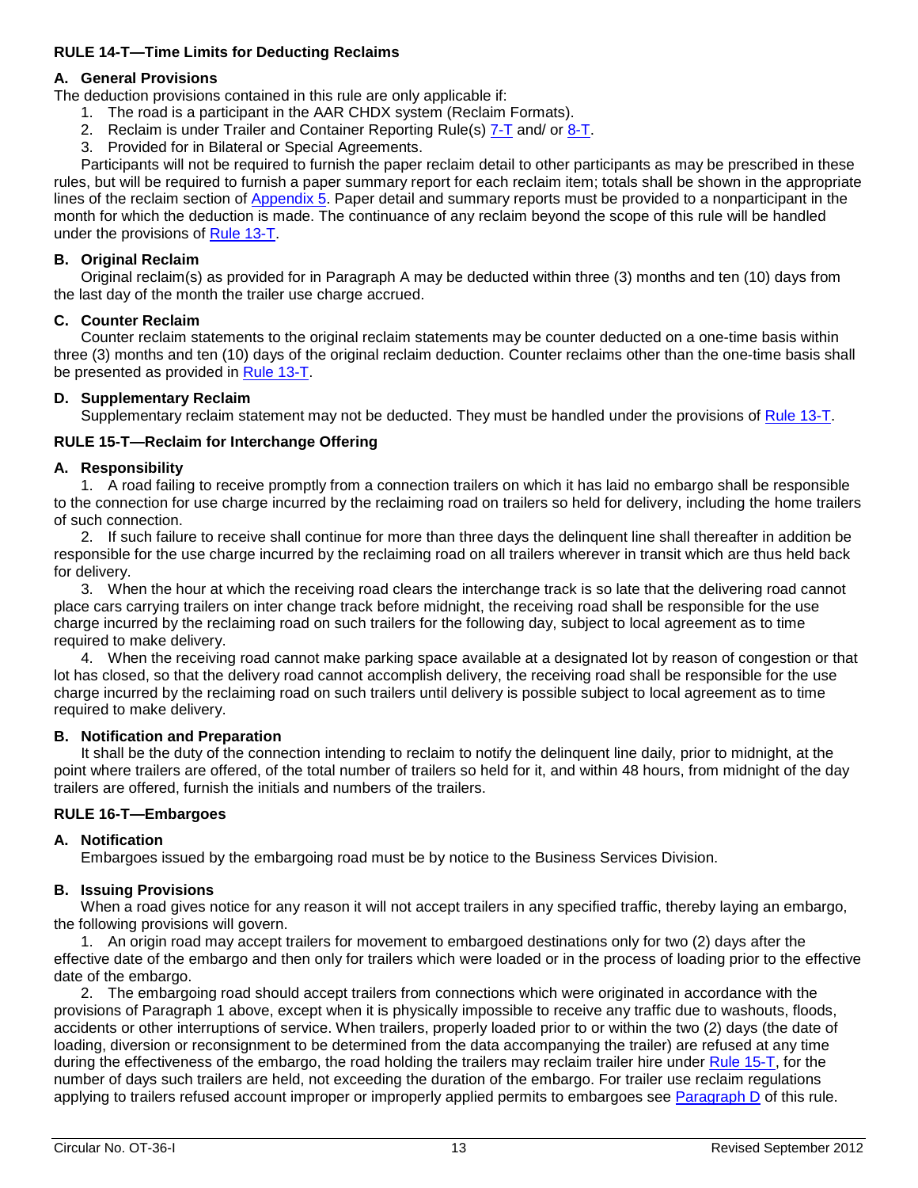#### <span id="page-12-0"></span>**RULE 14-T—Time Limits for Deducting Reclaims**

# **A. General Provisions**

The deduction provisions contained in this rule are only applicable if:

- 1. The road is a participant in the AAR CHDX system (Reclaim Formats).
- 2. Reclaim is under Trailer and Container Reporting Rule(s) [7-T](#page-7-1) and/ or [8-T.](#page-8-3)
- 3. Provided for in Bilateral or Special Agreements.

Participants will not be required to furnish the paper reclaim detail to other participants as may be prescribed in these rules, but will be required to furnish a paper summary report for each reclaim item; totals shall be shown in the appropriate lines of the reclaim section of [Appendix 5.](#page-15-0) Paper detail and summary reports must be provided to a nonparticipant in the month for which the deduction is made. The continuance of any reclaim beyond the scope of this rule will be handled under the provisions of [Rule 13-T.](#page-11-0)

#### **B. Original Reclaim**

Original reclaim(s) as provided for in Paragraph A may be deducted within three (3) months and ten (10) days from the last day of the month the trailer use charge accrued.

#### **C. Counter Reclaim**

Counter reclaim statements to the original reclaim statements may be counter deducted on a one-time basis within three (3) months and ten (10) days of the original reclaim deduction. Counter reclaims other than the one-time basis shall be presented as provided in [Rule 13-T.](#page-11-0)

# **D. Supplementary Reclaim**

Supplementary reclaim statement may not be deducted. They must be handled under the provisions of [Rule 13-T.](#page-11-0)

# <span id="page-12-1"></span>**RULE 15-T—Reclaim for Interchange Offering**

# **A. Responsibility**

1. A road failing to receive promptly from a connection trailers on which it has laid no embargo shall be responsible to the connection for use charge incurred by the reclaiming road on trailers so held for delivery, including the home trailers of such connection.

2. If such failure to receive shall continue for more than three days the delinquent line shall thereafter in addition be responsible for the use charge incurred by the reclaiming road on all trailers wherever in transit which are thus held back for delivery.

3. When the hour at which the receiving road clears the interchange track is so late that the delivering road cannot place cars carrying trailers on inter change track before midnight, the receiving road shall be responsible for the use charge incurred by the reclaiming road on such trailers for the following day, subject to local agreement as to time required to make delivery.

4. When the receiving road cannot make parking space available at a designated lot by reason of congestion or that lot has closed, so that the delivery road cannot accomplish delivery, the receiving road shall be responsible for the use charge incurred by the reclaiming road on such trailers until delivery is possible subject to local agreement as to time required to make delivery.

#### **B. Notification and Preparation**

It shall be the duty of the connection intending to reclaim to notify the delinquent line daily, prior to midnight, at the point where trailers are offered, of the total number of trailers so held for it, and within 48 hours, from midnight of the day trailers are offered, furnish the initials and numbers of the trailers.

#### <span id="page-12-2"></span>**RULE 16-T—Embargoes**

#### **A. Notification**

Embargoes issued by the embargoing road must be by notice to the Business Services Division.

#### **B. Issuing Provisions**

When a road gives notice for any reason it will not accept trailers in any specified traffic, thereby laying an embargo, the following provisions will govern.

1. An origin road may accept trailers for movement to embargoed destinations only for two (2) days after the effective date of the embargo and then only for trailers which were loaded or in the process of loading prior to the effective date of the embargo.

2. The embargoing road should accept trailers from connections which were originated in accordance with the provisions of Paragraph 1 above, except when it is physically impossible to receive any traffic due to washouts, floods, accidents or other interruptions of service. When trailers, properly loaded prior to or within the two (2) days (the date of loading, diversion or reconsignment to be determined from the data accompanying the trailer) are refused at any time during the effectiveness of the embargo, the road holding the trailers may reclaim trailer hire under [Rule 15-T,](#page-12-1) for the number of days such trailers are held, not exceeding the duration of the embargo. For trailer use reclaim regulations applying to trailers refused account improper or improperly applied permits to embargoes see [Paragraph D](#page-13-0) of this rule.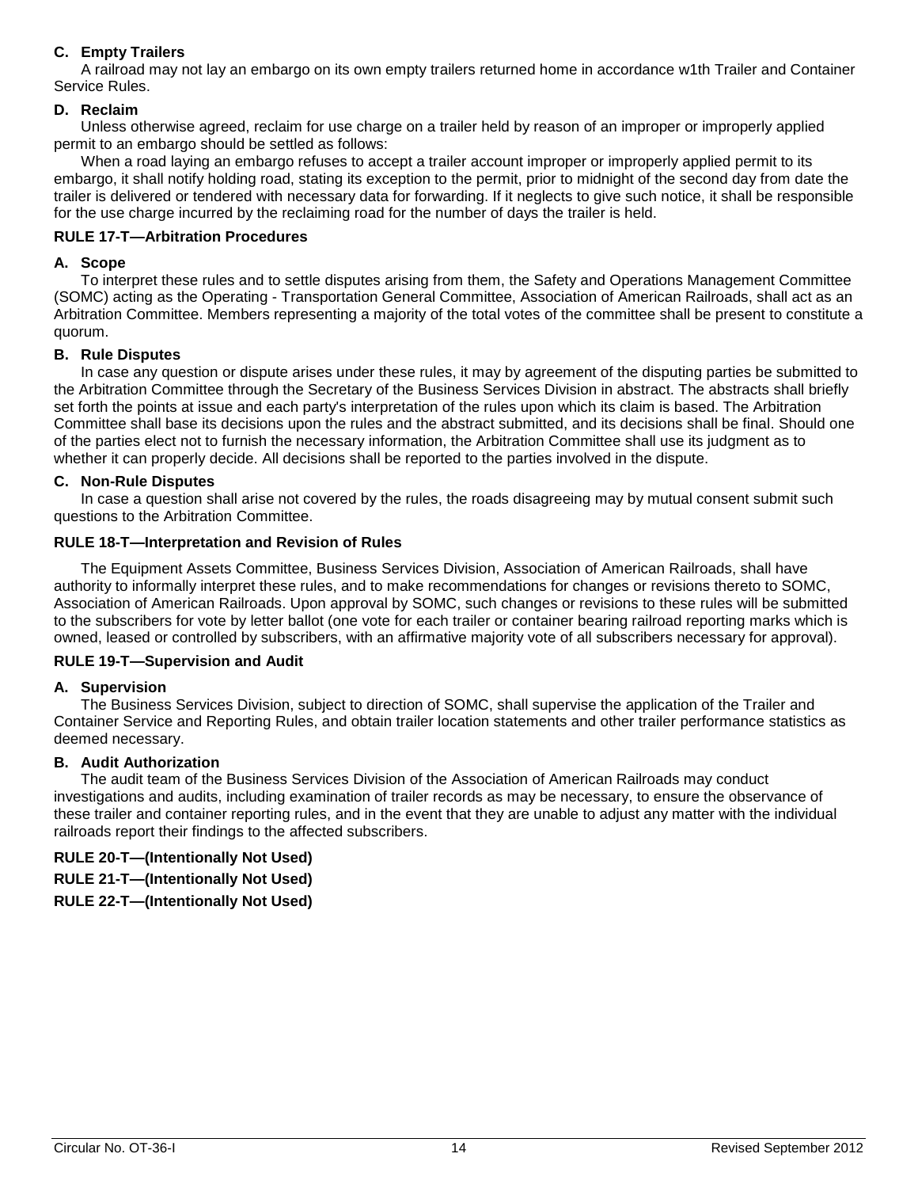# **C. Empty Trailers**

A railroad may not lay an embargo on its own empty trailers returned home in accordance w1th Trailer and Container Service Rules.

#### <span id="page-13-0"></span>**D. Reclaim**

Unless otherwise agreed, reclaim for use charge on a trailer held by reason of an improper or improperly applied permit to an embargo should be settled as follows:

When a road laying an embargo refuses to accept a trailer account improper or improperly applied permit to its embargo, it shall notify holding road, stating its exception to the permit, prior to midnight of the second day from date the trailer is delivered or tendered with necessary data for forwarding. If it neglects to give such notice, it shall be responsible for the use charge incurred by the reclaiming road for the number of days the trailer is held.

#### **RULE 17-T—Arbitration Procedures**

#### **A. Scope**

To interpret these rules and to settle disputes arising from them, the Safety and Operations Management Committee (SOMC) acting as the Operating - Transportation General Committee, Association of American Railroads, shall act as an Arbitration Committee. Members representing a majority of the total votes of the committee shall be present to constitute a quorum.

#### **B. Rule Disputes**

In case any question or dispute arises under these rules, it may by agreement of the disputing parties be submitted to the Arbitration Committee through the Secretary of the Business Services Division in abstract. The abstracts shall briefly set forth the points at issue and each party's interpretation of the rules upon which its claim is based. The Arbitration Committee shall base its decisions upon the rules and the abstract submitted, and its decisions shall be final. Should one of the parties elect not to furnish the necessary information, the Arbitration Committee shall use its judgment as to whether it can properly decide. All decisions shall be reported to the parties involved in the dispute.

#### **C. Non-Rule Disputes**

In case a question shall arise not covered by the rules, the roads disagreeing may by mutual consent submit such questions to the Arbitration Committee.

#### **RULE 18-T—Interpretation and Revision of Rules**

The Equipment Assets Committee, Business Services Division, Association of American Railroads, shall have authority to informally interpret these rules, and to make recommendations for changes or revisions thereto to SOMC, Association of American Railroads. Upon approval by SOMC, such changes or revisions to these rules will be submitted to the subscribers for vote by letter ballot (one vote for each trailer or container bearing railroad reporting marks which is owned, leased or controlled by subscribers, with an affirmative majority vote of all subscribers necessary for approval).

#### **RULE 19-T—Supervision and Audit**

#### **A. Supervision**

The Business Services Division, subject to direction of SOMC, shall supervise the application of the Trailer and Container Service and Reporting Rules, and obtain trailer location statements and other trailer performance statistics as deemed necessary.

#### **B. Audit Authorization**

The audit team of the Business Services Division of the Association of American Railroads may conduct investigations and audits, including examination of trailer records as may be necessary, to ensure the observance of these trailer and container reporting rules, and in the event that they are unable to adjust any matter with the individual railroads report their findings to the affected subscribers.

# **RULE 20-T—(Intentionally Not Used)**

**RULE 21-T—(Intentionally Not Used)**

**RULE 22-T—(Intentionally Not Used)**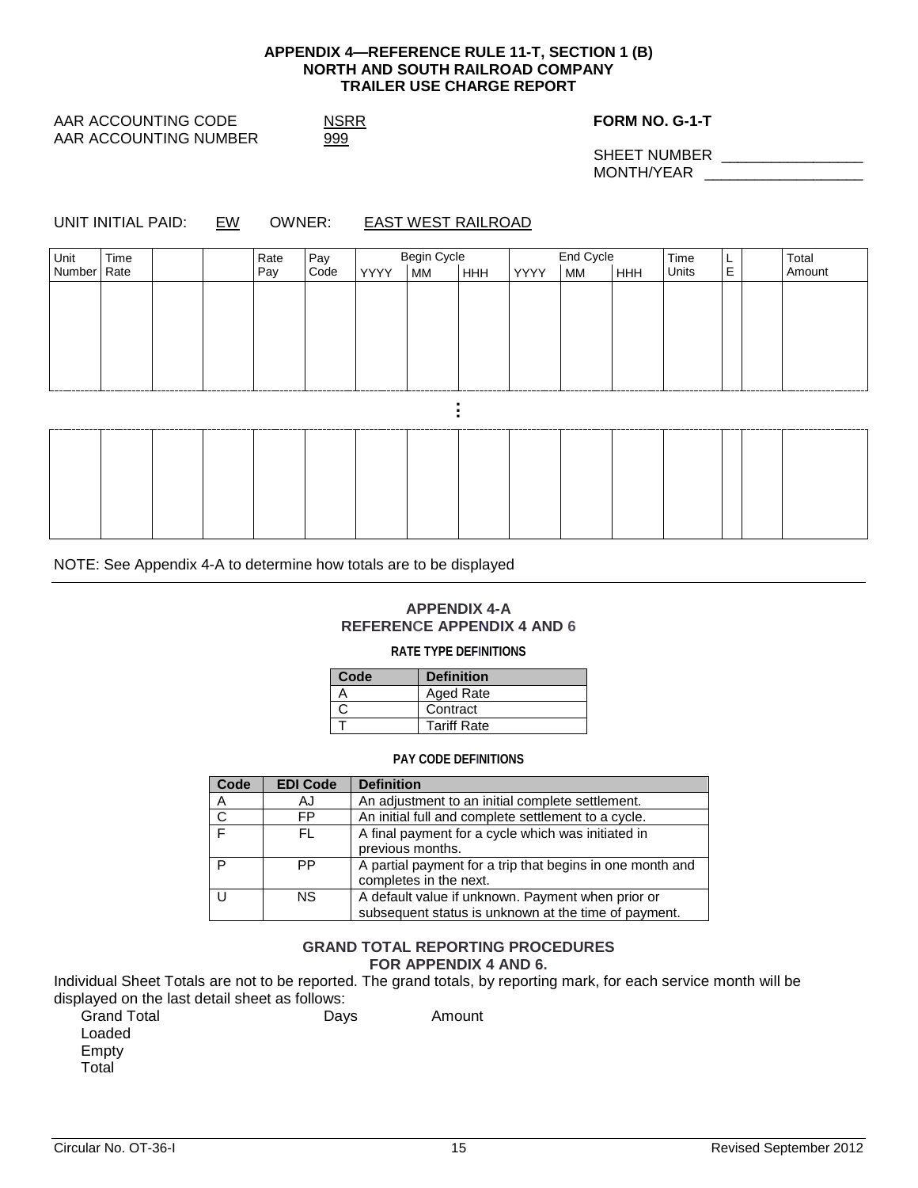#### **APPENDIX 4—REFERENCE RULE 11-T, SECTION 1 (B) NORTH AND SOUTH RAILROAD COMPANY TRAILER USE CHARGE REPORT**

<span id="page-14-0"></span>AAR ACCOUNTING CODE NSRR NO. G-1-T AAR ACCOUNTING NUMBER 999

SHEET NUMBER \_\_\_\_\_\_\_\_\_\_\_\_\_\_\_\_\_ MONTH/YEAR **with a set of the set of the set of the set of the set of the set of the set of the set of the set of the set of the set of the set of the set of the set of the set of the set of the set of the set of the set o** 

UNIT INITIAL PAID: EW OWNER: EAST WEST RAILROAD

| Unit Time<br>Number Rate<br>Rate<br>Pay |             | Begin Cycle<br>YYYY MM HHH | End Cycle<br>YYYY<br>е<br> ннн | Time<br>Units<br>L<br>E | Total<br>Amount |
|-----------------------------------------|-------------|----------------------------|--------------------------------|-------------------------|-----------------|
|                                         | Pay<br>Code |                            | MM                             |                         |                 |
|                                         |             |                            |                                |                         |                 |
|                                         |             |                            |                                |                         |                 |
|                                         |             |                            |                                |                         |                 |
|                                         |             |                            |                                |                         |                 |
|                                         |             |                            |                                |                         |                 |
|                                         |             |                            |                                |                         |                 |
|                                         |             |                            |                                | ---                     |                 |
|                                         |             |                            |                                |                         |                 |
|                                         |             |                            |                                |                         |                 |
|                                         |             |                            |                                |                         |                 |

NOTE: See Appendix 4-A to determine how totals are to be displayed

#### **APPENDIX 4-A REFERENCE APPENDIX 4 AND 6**

#### **RATE TYPE DEFINITIONS**

| Code | <b>Definition</b>  |
|------|--------------------|
|      | Aged Rate          |
|      | Contract           |
|      | <b>Tariff Rate</b> |

#### **PAY CODE DEFINITIONS**

| Code         | <b>EDI Code</b> | <b>Definition</b>                                         |
|--------------|-----------------|-----------------------------------------------------------|
| A            | AJ              | An adjustment to an initial complete settlement.          |
| $\mathsf{C}$ | FP              | An initial full and complete settlement to a cycle.       |
| $\mathbf{r}$ | FL.             | A final payment for a cycle which was initiated in        |
|              |                 | previous months.                                          |
| D            | PP              | A partial payment for a trip that begins in one month and |
|              |                 | completes in the next.                                    |
|              | NS.             | A default value if unknown. Payment when prior or         |
|              |                 | subsequent status is unknown at the time of payment.      |

#### **GRAND TOTAL REPORTING PROCEDURES FOR APPENDIX 4 AND 6.**

Individual Sheet Totals are not to be reported. The grand totals, by reporting mark, for each service month will be displayed on the last detail sheet as follows:

| <b>Grand Total</b> | Days | Amount |
|--------------------|------|--------|
| Loaded             |      |        |
| Empty              |      |        |
| Total              |      |        |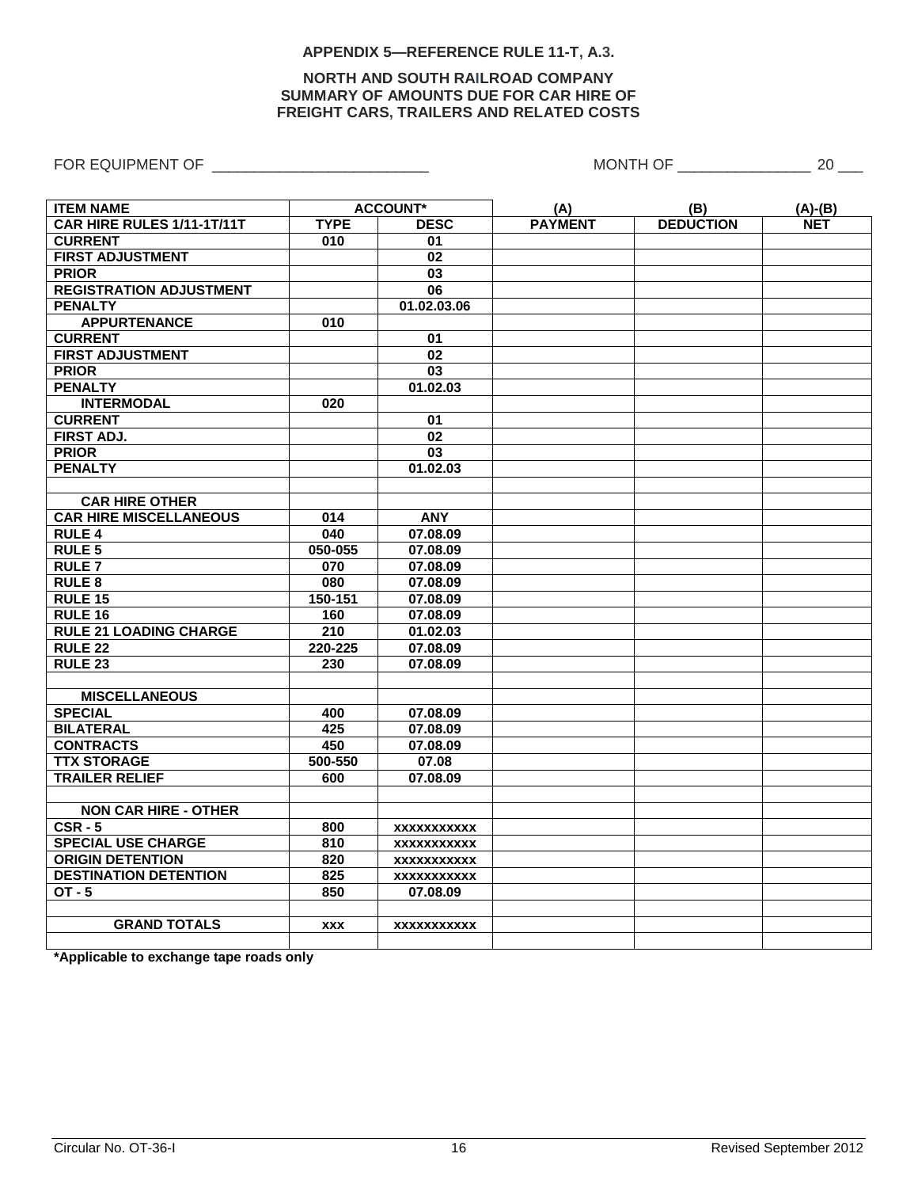#### **APPENDIX 5—REFERENCE RULE 11-T, A.3.**

#### **NORTH AND SOUTH RAILROAD COMPANY SUMMARY OF AMOUNTS DUE FOR CAR HIRE OF FREIGHT CARS, TRAILERS AND RELATED COSTS**

<span id="page-15-0"></span>FOR EQUIPMENT OF \_\_\_\_\_\_\_\_\_\_\_\_\_\_\_\_\_\_\_\_\_\_\_\_\_\_ MONTH OF \_\_\_\_\_\_\_\_\_\_\_\_\_\_\_\_ 20 \_\_\_

| <b>ITEM NAME</b>               | <b>ACCOUNT*</b>            |                    | (A)            | (B)              | $(A)-(B)$  |
|--------------------------------|----------------------------|--------------------|----------------|------------------|------------|
| CAR HIRE RULES 1/11-1T/11T     | <b>TYPE</b><br><b>DESC</b> |                    | <b>PAYMENT</b> | <b>DEDUCTION</b> | <b>NET</b> |
| <b>CURRENT</b>                 | 010                        | 01                 |                |                  |            |
| <b>FIRST ADJUSTMENT</b>        |                            | 02                 |                |                  |            |
| <b>PRIOR</b>                   |                            | $\overline{03}$    |                |                  |            |
| <b>REGISTRATION ADJUSTMENT</b> |                            | $\overline{06}$    |                |                  |            |
| <b>PENALTY</b>                 |                            | 01.02.03.06        |                |                  |            |
| <b>APPURTENANCE</b>            | 010                        |                    |                |                  |            |
| <b>CURRENT</b>                 |                            | 01                 |                |                  |            |
| <b>FIRST ADJUSTMENT</b>        |                            | 02                 |                |                  |            |
| <b>PRIOR</b>                   |                            | $\overline{03}$    |                |                  |            |
| <b>PENALTY</b>                 |                            | 01.02.03           |                |                  |            |
| <b>INTERMODAL</b>              | 020                        |                    |                |                  |            |
| <b>CURRENT</b>                 |                            | 01                 |                |                  |            |
| <b>FIRST ADJ.</b>              |                            | 02                 |                |                  |            |
| <b>PRIOR</b>                   |                            | $\overline{03}$    |                |                  |            |
| <b>PENALTY</b>                 |                            | 01.02.03           |                |                  |            |
|                                |                            |                    |                |                  |            |
| <b>CAR HIRE OTHER</b>          |                            |                    |                |                  |            |
| <b>CAR HIRE MISCELLANEOUS</b>  | 014                        | <b>ANY</b>         |                |                  |            |
| <b>RULE 4</b>                  | 040                        | 07.08.09           |                |                  |            |
| <b>RULE 5</b>                  | 050-055                    | 07.08.09           |                |                  |            |
| <b>RULE 7</b>                  | $\overline{070}$           | 07.08.09           |                |                  |            |
| <b>RULE 8</b>                  | 080                        | 07.08.09           |                |                  |            |
| <b>RULE 15</b>                 | 150-151                    | 07.08.09           |                |                  |            |
| <b>RULE 16</b>                 | 160                        | 07.08.09           |                |                  |            |
| <b>RULE 21 LOADING CHARGE</b>  | 210                        | 01.02.03           |                |                  |            |
| <b>RULE 22</b>                 | 220-225                    | 07.08.09           |                |                  |            |
| <b>RULE 23</b>                 | 230                        | 07.08.09           |                |                  |            |
|                                |                            |                    |                |                  |            |
| <b>MISCELLANEOUS</b>           |                            |                    |                |                  |            |
| <b>SPECIAL</b>                 | 400                        | 07.08.09           |                |                  |            |
| <b>BILATERAL</b>               | 425                        | 07.08.09           |                |                  |            |
| <b>CONTRACTS</b>               | 450                        | 07.08.09           |                |                  |            |
| <b>TTX STORAGE</b>             | 500-550                    | 07.08              |                |                  |            |
| <b>TRAILER RELIEF</b>          | 600                        | 07.08.09           |                |                  |            |
|                                |                            |                    |                |                  |            |
| <b>NON CAR HIRE - OTHER</b>    |                            |                    |                |                  |            |
| $CSR - 5$                      | 800                        | <b>XXXXXXXXXXX</b> |                |                  |            |
| <b>SPECIAL USE CHARGE</b>      | 810<br>XXXXXXXXXX          |                    |                |                  |            |
| <b>ORIGIN DETENTION</b>        | 820<br>XXXXXXXXXX          |                    |                |                  |            |
| <b>DESTINATION DETENTION</b>   | 825<br><b>XXXXXXXXXXX</b>  |                    |                |                  |            |
| $OT - 5$                       | 850                        | 07.08.09           |                |                  |            |
|                                |                            |                    |                |                  |            |
| <b>GRAND TOTALS</b>            | <b>XXX</b>                 | XXXXXXXXXXX        |                |                  |            |
|                                |                            |                    |                |                  |            |

**\*Applicable to exchange tape roads only**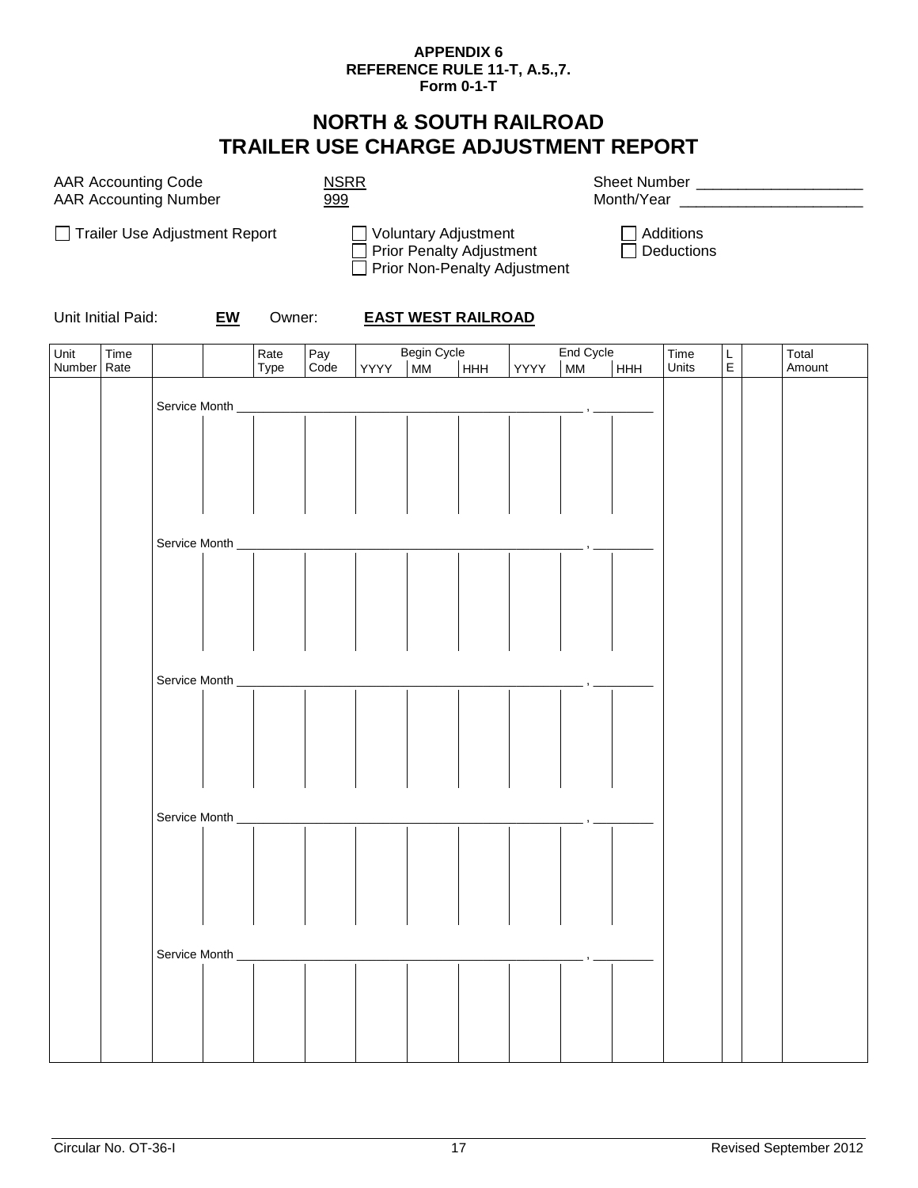#### **APPENDIX 6 REFERENCE RULE 11-T, A.5.,7. Form 0-1-T**

# **NORTH & SOUTH RAILROAD TRAILER USE CHARGE ADJUSTMENT REPORT**

<span id="page-16-0"></span>

| <b>AAR Accounting Code</b>   |  |
|------------------------------|--|
| <b>AAR Accounting Number</b> |  |

AAR Accounting Code NSRR Sheet Number \_\_\_\_\_\_\_\_\_\_\_\_\_\_\_\_\_\_\_\_ Month/Year \_\_\_\_\_\_\_\_



Unit Initial Paid: **EW** Owner: **EAST WEST RAILROAD**

| Unit   | Time              |                 |               | Rate                       |             |      |                          |            |      | End Cycle |     | Time  | L           | Total  |
|--------|-------------------|-----------------|---------------|----------------------------|-------------|------|--------------------------|------------|------|-----------|-----|-------|-------------|--------|
| Number | Rate              |                 |               | Type                       | Pay<br>Code | YYYY | Begin Cycle<br>  MM   HI | <b>HHH</b> | YYYY | <b>MM</b> | HHH | Units | $\mathsf E$ | Amount |
|        |                   |                 |               |                            |             |      |                          |            |      |           |     |       |             |        |
|        | Service Month ___ |                 |               |                            |             |      |                          |            |      |           |     |       |             |        |
|        |                   |                 |               |                            |             |      |                          |            |      |           |     |       |             |        |
|        |                   |                 |               |                            |             |      |                          |            |      |           |     |       |             |        |
|        |                   |                 |               |                            |             |      |                          |            |      |           |     |       |             |        |
|        |                   |                 |               |                            |             |      |                          |            |      |           |     |       |             |        |
|        |                   |                 |               |                            |             |      |                          |            |      |           |     |       |             |        |
|        |                   |                 |               |                            |             |      |                          |            |      |           |     |       |             |        |
|        |                   |                 |               |                            |             |      |                          |            |      |           |     |       |             |        |
|        |                   | Service Month _ |               |                            |             |      |                          |            |      |           |     |       |             |        |
|        |                   |                 |               |                            |             |      |                          |            |      |           |     |       |             |        |
|        |                   |                 |               |                            |             |      |                          |            |      |           |     |       |             |        |
|        |                   |                 |               |                            |             |      |                          |            |      |           |     |       |             |        |
|        |                   |                 |               |                            |             |      |                          |            |      |           |     |       |             |        |
|        |                   |                 |               |                            |             |      |                          |            |      |           |     |       |             |        |
|        |                   |                 |               |                            |             |      |                          |            |      |           |     |       |             |        |
|        |                   |                 |               |                            |             |      |                          |            |      |           |     |       |             |        |
|        |                   |                 |               |                            |             |      |                          |            |      |           |     |       |             |        |
|        |                   |                 | Service Month |                            |             |      |                          |            |      |           |     |       |             |        |
|        |                   |                 |               |                            |             |      |                          |            |      |           |     |       |             |        |
|        |                   |                 |               |                            |             |      |                          |            |      |           |     |       |             |        |
|        |                   |                 |               |                            |             |      |                          |            |      |           |     |       |             |        |
|        |                   |                 |               |                            |             |      |                          |            |      |           |     |       |             |        |
|        |                   |                 |               |                            |             |      |                          |            |      |           |     |       |             |        |
|        |                   |                 |               |                            |             |      |                          |            |      |           |     |       |             |        |
|        |                   |                 |               |                            |             |      |                          |            |      |           |     |       |             |        |
|        |                   | Service Month _ |               |                            |             |      |                          |            |      |           |     |       |             |        |
|        |                   |                 |               |                            |             |      |                          |            |      |           |     |       |             |        |
|        |                   |                 |               |                            |             |      |                          |            |      |           |     |       |             |        |
|        |                   |                 |               |                            |             |      |                          |            |      |           |     |       |             |        |
|        |                   |                 |               |                            |             |      |                          |            |      |           |     |       |             |        |
|        |                   |                 |               |                            |             |      |                          |            |      |           |     |       |             |        |
|        |                   |                 |               |                            |             |      |                          |            |      |           |     |       |             |        |
|        |                   |                 |               |                            |             |      |                          |            |      |           |     |       |             |        |
|        |                   |                 |               | Service Month ____________ |             |      |                          |            |      |           |     |       |             |        |
|        |                   |                 |               |                            |             |      |                          |            |      |           |     |       |             |        |
|        |                   |                 |               |                            |             |      |                          |            |      |           |     |       |             |        |
|        |                   |                 |               |                            |             |      |                          |            |      |           |     |       |             |        |
|        |                   |                 |               |                            |             |      |                          |            |      |           |     |       |             |        |
|        |                   |                 |               |                            |             |      |                          |            |      |           |     |       |             |        |
|        |                   |                 |               |                            |             |      |                          |            |      |           |     |       |             |        |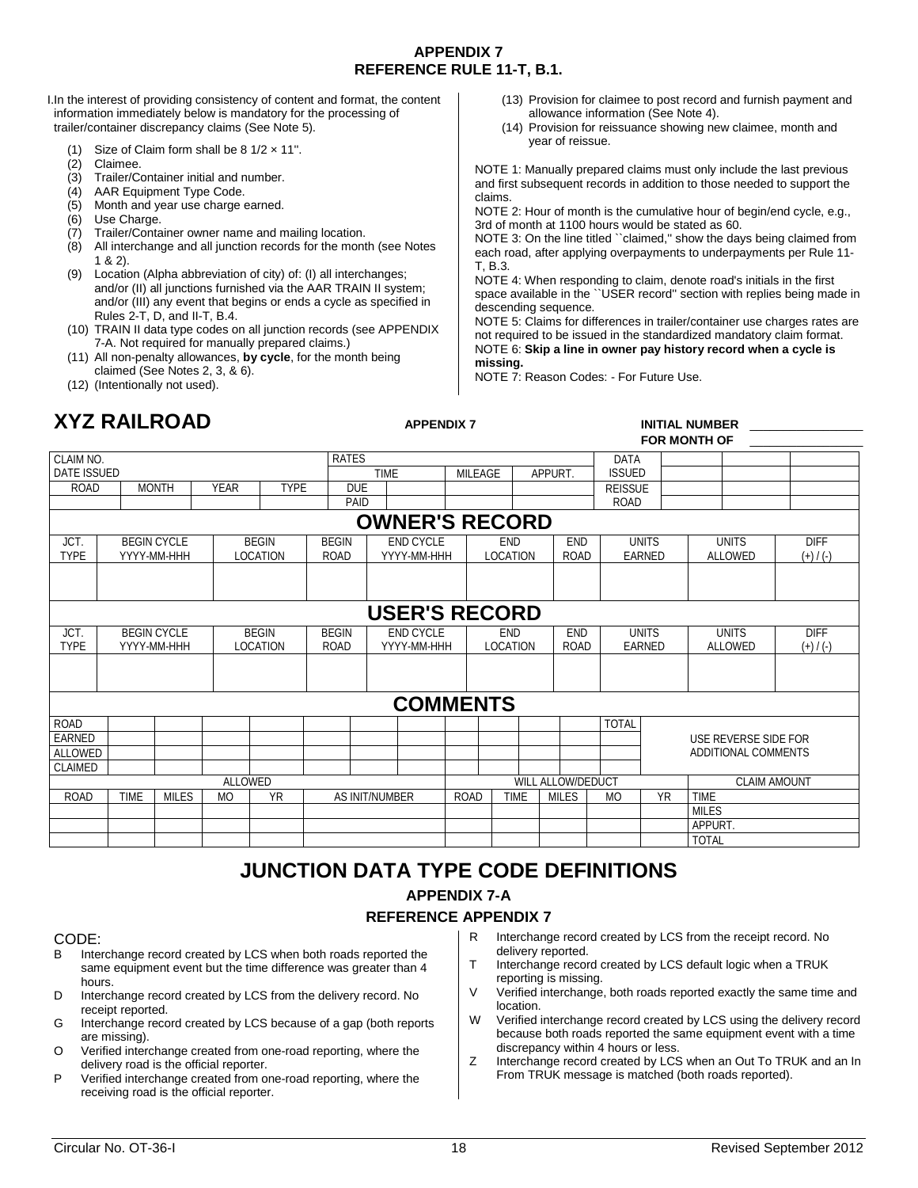#### **APPENDIX 7 REFERENCE RULE 11-T, B.1.**

<span id="page-17-0"></span>I.In the interest of providing consistency of content and format, the content information immediately below is mandatory for the processing of trailer/container discrepancy claims (See Note 5).

- (1) Size of Claim form shall be  $8 \frac{1}{2} \times 11$ ".
- (2) Claimee.
- 
- (3) Trailer/Container initial and number.<br>(4) AAR Equipment Type Code.  $(4)$  AAR Equipment Type Code.<br>(5) Month and year use charge of
- Month and year use charge earned.
- (6) Use Charge.
- (7) Trailer/Container owner name and mailing location.
- All interchange and all junction records for the month (see Notes 1 & 2).
- (9) Location (Alpha abbreviation of city) of: (I) all interchanges; and/or (II) all junctions furnished via the AAR TRAIN II system; and/or (III) any event that begins or ends a cycle as specified in Rules 2-T, D, and II-T, B.4.
- (10) TRAIN II data type codes on all junction records (see APPENDIX 7-A. Not required for manually prepared claims.)
- (11) All non-penalty allowances, **by cycle**, for the month being claimed (See Notes 2, 3, & 6).
- (12) (Intentionally not used).
- **XYZ RAILROAD APPENDIX 7 INITIAL NUMBER** \_\_\_\_\_\_\_\_\_\_\_\_\_\_\_\_\_

#### (13) Provision for claimee to post record and furnish payment and allowance information (See Note 4).

(14) Provision for reissuance showing new claimee, month and year of reissue.

NOTE 1: Manually prepared claims must only include the last previous and first subsequent records in addition to those needed to support the claims.

NOTE 2: Hour of month is the cumulative hour of begin/end cycle, e.g., 3rd of month at 1100 hours would be stated as 60.

NOTE 3: On the line titled "claimed," show the days being claimed from each road, after applying overpayments to underpayments per Rule 11- T, B.3.

NOTE 4: When responding to claim, denote road's initials in the first space available in the ``USER record" section with replies being made in descending sequence.

NOTE 5: Claims for differences in trailer/container use charges rates are not required to be issued in the standardized mandatory claim format. NOTE 6: **Skip a line in owner pay history record when a cycle is missing.**

NOTE 7: Reason Codes: - For Future Use.

#### **FOR MONTH OF** \_\_\_\_\_\_\_\_\_\_\_\_\_\_\_\_\_

| FUN MUNTH UF                  |  |  |  |  |  |  |  |  |  |  |  |  |
|-------------------------------|--|--|--|--|--|--|--|--|--|--|--|--|
|                               |  |  |  |  |  |  |  |  |  |  |  |  |
|                               |  |  |  |  |  |  |  |  |  |  |  |  |
|                               |  |  |  |  |  |  |  |  |  |  |  |  |
|                               |  |  |  |  |  |  |  |  |  |  |  |  |
|                               |  |  |  |  |  |  |  |  |  |  |  |  |
| <b>DIFF</b><br><b>UNITS</b>   |  |  |  |  |  |  |  |  |  |  |  |  |
| $(+) / (-)$<br><b>ALLOWED</b> |  |  |  |  |  |  |  |  |  |  |  |  |
|                               |  |  |  |  |  |  |  |  |  |  |  |  |
|                               |  |  |  |  |  |  |  |  |  |  |  |  |
|                               |  |  |  |  |  |  |  |  |  |  |  |  |
| <b>UNITS</b><br><b>DIFF</b>   |  |  |  |  |  |  |  |  |  |  |  |  |
| ALLOWED<br>$(+) / (-)$        |  |  |  |  |  |  |  |  |  |  |  |  |
|                               |  |  |  |  |  |  |  |  |  |  |  |  |
|                               |  |  |  |  |  |  |  |  |  |  |  |  |
|                               |  |  |  |  |  |  |  |  |  |  |  |  |
|                               |  |  |  |  |  |  |  |  |  |  |  |  |
| USE REVERSE SIDE FOR          |  |  |  |  |  |  |  |  |  |  |  |  |
| ADDITIONAL COMMENTS           |  |  |  |  |  |  |  |  |  |  |  |  |
|                               |  |  |  |  |  |  |  |  |  |  |  |  |
| <b>CLAIM AMOUNT</b>           |  |  |  |  |  |  |  |  |  |  |  |  |
| <b>TIME</b>                   |  |  |  |  |  |  |  |  |  |  |  |  |
| <b>MILES</b>                  |  |  |  |  |  |  |  |  |  |  |  |  |
| APPURT.                       |  |  |  |  |  |  |  |  |  |  |  |  |
| <b>TOTAL</b>                  |  |  |  |  |  |  |  |  |  |  |  |  |
|                               |  |  |  |  |  |  |  |  |  |  |  |  |

# **JUNCTION DATA TYPE CODE DEFINITIONS APPENDIX 7-A**

#### **REFERENCE APPENDIX 7**

# CODE:<br>B Inte

- Interchange record created by LCS when both roads reported the same equipment event but the time difference was greater than 4 hours.
- D Interchange record created by LCS from the delivery record. No receipt reported.
- G Interchange record created by LCS because of a gap (both reports are missing).
- O Verified interchange created from one-road reporting, where the delivery road is the official reporter.
- P Verified interchange created from one-road reporting, where the receiving road is the official reporter.
- R Interchange record created by LCS from the receipt record. No
- delivery reported. T Interchange record created by LCS default logic when a TRUK
- reporting is missing.
- V Verified interchange, both roads reported exactly the same time and location.
- W Verified interchange record created by LCS using the delivery record because both roads reported the same equipment event with a time discrepancy within 4 hours or less.
- Z Interchange record created by LCS when an Out To TRUK and an In From TRUK message is matched (both roads reported).